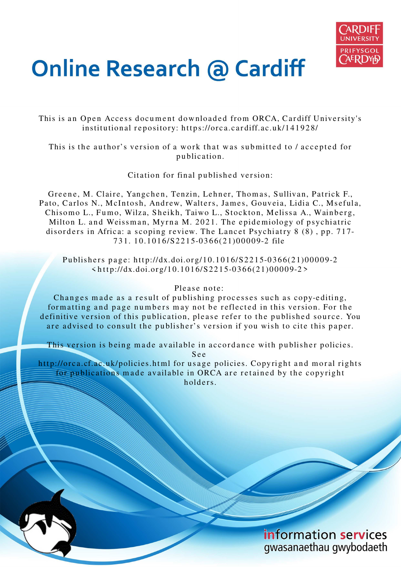

# **Online Research @ Cardiff**

This is an Open Access document downloaded from ORCA, Cardiff University's institutional repository: https://orca.cardiff.ac.uk/141928/

This is the author's version of a work that was submitted to / accepted for p u blication.

Citation for final published version:

Greene, M. Claire, Yangchen, Tenzin, Lehner, Thomas, Sullivan, Patrick F., Pato, Carlos N., McIntosh, Andrew, Walters, James, Gouveia, Lidia C., Msefula, Chisomo L., Fumo, Wilza, Sheikh, Taiwo L., Stockton, Melissa A., Wainberg, Milton L. and Weissman, Myrna M. 2021. The epidemiology of psychiatric disorders in Africa: a scoping review. The Lancet Psychiatry 8 (8), pp. 717-7 3 1. 1 0.1 01 6/S 22 1 5-0 3 6 6(21)00 0 0 9-2 file

Publishers page: http://dx.doi.org/10.1016/S2215-0366(21)00009-2  $\langle \text{http://dx.doi.org/10.1016/S2215-0366(21)00009-2} \rangle$ 

## Please note:

Changes made as a result of publishing processes such as copy-editing, formatting and page numbers may not be reflected in this version. For the definitive version of this publication, please refer to the published source. You are advised to consult the publisher's version if you wish to cite this paper.

This version is being made available in accordance with publisher policies. S e e

http://orca.cf.ac.uk/policies.html for usage policies. Copyright and moral rights for publications made available in ORCA are retained by the copyright holders.

> information services gwasanaethau gwybodaeth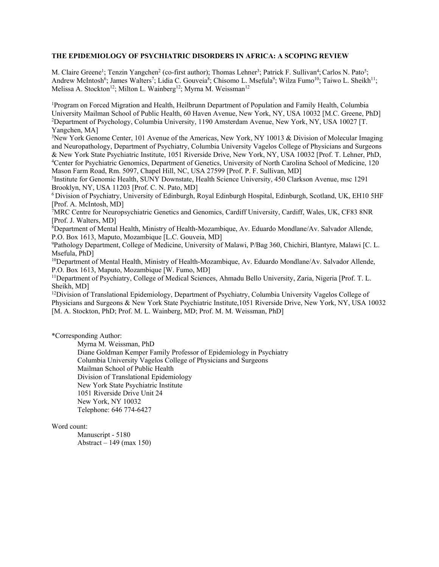#### **THE EPIDEMIOLOGY OF PSYCHIATRIC DISORDERS IN AFRICA: A SCOPING REVIEW**

M. Claire Greene<sup>1</sup>; Tenzin Yangchen<sup>2</sup> (co-first author); Thomas Lehner<sup>3</sup>; Patrick F. Sullivan<sup>4</sup>; Carlos N. Pato<sup>5</sup>; Andrew McIntosh<sup>6</sup>; James Walters<sup>7</sup>; Lidia C. Gouveia<sup>8</sup>; Chisomo L. Msefula<sup>9</sup>; Wilza Fumo<sup>10</sup>; Taiwo L. Sheikh<sup>11</sup>; Melissa A. Stockton<sup>12</sup>; Milton L. Wainberg<sup>12</sup>; Myrna M. Weissman<sup>12</sup>

<sup>1</sup>Program on Forced Migration and Health, Heilbrunn Department of Population and Family Health, Columbia University Mailman School of Public Health, 60 Haven Avenue, New York, NY, USA 10032 [M.C. Greene, PhD] <sup>2</sup>Department of Psychology, Columbia University, 1190 Amsterdam Avenue, New York, NY, USA 10027 [T. Yangchen, MA]

<sup>3</sup>New York Genome Center, 101 Avenue of the Americas, New York, NY 10013 & Division of Molecular Imaging and Neuropathology, Department of Psychiatry, Columbia University Vagelos College of Physicians and Surgeons & New York State Psychiatric Institute, 1051 Riverside Drive, New York, NY, USA 10032 [Prof. T. Lehner, PhD, <sup>4</sup>Center for Psychiatric Genomics, Department of Genetics, University of North Carolina School of Medicine, 120 Mason Farm Road, Rm. 5097, Chapel Hill, NC, USA 27599 [Prof. P. F. Sullivan, MD]

5 Institute for Genomic Health, SUNY Downstate, Health Science University, 450 Clarkson Avenue, msc 1291 Brooklyn, NY, USA 11203 [Prof. C. N. Pato, MD]

<sup>6</sup>Division of Psychiatry, University of Edinburgh, Royal Edinburgh Hospital, Edinburgh, Scotland, UK, EH10 5HF [Prof. A. McIntosh, MD]

 $\bar{7}$ MRC Centre for Neuropsychiatric Genetics and Genomics, Cardiff University, Cardiff, Wales, UK, CF83 8NR [Prof. J. Walters, MD]

<sup>8</sup>Department of Mental Health, Ministry of Health-Mozambique, Av. Eduardo Mondlane/Av. Salvador Allende, P.O. Box 1613, Maputo, Mozambique [L.C. Gouveia, MD]

<sup>9</sup>Pathology Department, College of Medicine, University of Malawi, P/Bag 360, Chichiri, Blantyre, Malawi [C. L. Msefula, PhD]

<sup>10</sup>Department of Mental Health, Ministry of Health-Mozambique, Av. Eduardo Mondlane/Av. Salvador Allende, P.O. Box 1613, Maputo, Mozambique [W. Fumo, MD]

<sup>11</sup>Department of Psychiatry, College of Medical Sciences, Ahmadu Bello University, Zaria, Nigeria [Prof. T. L. Sheikh, MD]

<sup>12</sup>Division of Translational Epidemiology, Department of Psychiatry, Columbia University Vagelos College of Physicians and Surgeons & New York State Psychiatric Institute,1051 Riverside Drive, New York, NY, USA 10032 [M. A. Stockton, PhD; Prof. M. L. Wainberg, MD; Prof. M. M. Weissman, PhD]

\*Corresponding Author:

Myrna M. Weissman, PhD

Diane Goldman Kemper Family Professor of Epidemiology in Psychiatry Columbia University Vagelos College of Physicians and Surgeons Mailman School of Public Health Division of Translational Epidemiology New York State Psychiatric Institute 1051 Riverside Drive Unit 24 New York, NY 10032 Telephone: 646 774-6427

Word count:

Manuscript - 5180 Abstract – 149 (max 150)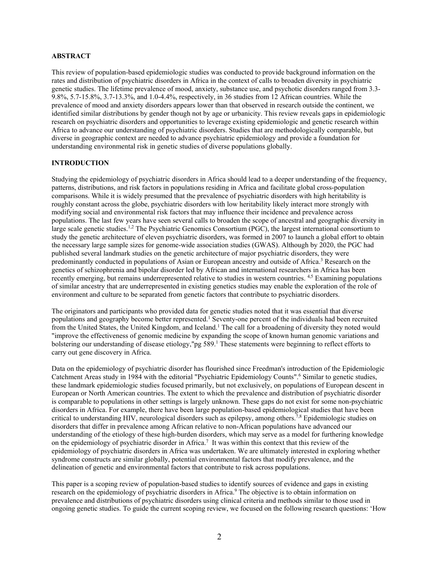#### **ABSTRACT**

This review of population-based epidemiologic studies was conducted to provide background information on the rates and distribution of psychiatric disorders in Africa in the context of calls to broaden diversity in psychiatric genetic studies. The lifetime prevalence of mood, anxiety, substance use, and psychotic disorders ranged from 3.3- 9.8%, 5.7-15.8%, 3.7-13.3%, and 1.0-4.4%, respectively, in 36 studies from 12 African countries. While the prevalence of mood and anxiety disorders appears lower than that observed in research outside the continent, we identified similar distributions by gender though not by age or urbanicity. This review reveals gaps in epidemiologic research on psychiatric disorders and opportunities to leverage existing epidemiologic and genetic research within Africa to advance our understanding of psychiatric disorders. Studies that are methodologically comparable, but diverse in geographic context are needed to advance psychiatric epidemiology and provide a foundation for understanding environmental risk in genetic studies of diverse populations globally.

#### **INTRODUCTION**

Studying the epidemiology of psychiatric disorders in Africa should lead to a deeper understanding of the frequency, patterns, distributions, and risk factors in populations residing in Africa and facilitate global cross-population comparisons. While it is widely presumed that the prevalence of psychiatric disorders with high heritability is roughly constant across the globe, psychiatric disorders with low heritability likely interact more strongly with modifying social and environmental risk factors that may influence their incidence and prevalence across populations. The last few years have seen several calls to broaden the scope of ancestral and geographic diversity in large scale genetic studies.<sup>1,2</sup> The Psychiatric Genomics Consortium (PGC), the largest international consortium to study the genetic architecture of eleven psychiatric disorders, was formed in 2007 to launch a global effort to obtain the necessary large sample sizes for genome-wide association studies (GWAS). Although by 2020, the PGC had published several landmark studies on the genetic architecture of major psychiatric disorders, they were predominantly conducted in populations of Asian or European ancestry and outside of Africa.<sup>3</sup> Research on the genetics of schizophrenia and bipolar disorder led by African and international researchers in Africa has been recently emerging, but remains underrepresented relative to studies in western countries. 4,5 Examining populations of similar ancestry that are underrepresented in existing genetics studies may enable the exploration of the role of environment and culture to be separated from genetic factors that contribute to psychiatric disorders.

The originators and participants who provided data for genetic studies noted that it was essential that diverse populations and geography become better represented.<sup>1</sup> Seventy-one percent of the individuals had been recruited from the United States, the United Kingdom, and Iceland.<sup>1</sup> The call for a broadening of diversity they noted would "improve the effectiveness of genomic medicine by expanding the scope of known human genomic variations and bolstering our understanding of disease etiology,"pg 589. <sup>1</sup> These statements were beginning to reflect efforts to carry out gene discovery in Africa.

Data on the epidemiology of psychiatric disorder has flourished since Freedman's introduction of the Epidemiologic Catchment Areas study in 1984 with the editorial "Psychiatric Epidemiology Counts". <sup>6</sup> Similar to genetic studies, these landmark epidemiologic studies focused primarily, but not exclusively, on populations of European descent in European or North American countries. The extent to which the prevalence and distribution of psychiatric disorder is comparable to populations in other settings is largely unknown. These gaps do not exist for some non-psychiatric disorders in Africa. For example, there have been large population-based epidemiological studies that have been critical to understanding HIV, neurological disorders such as epilepsy, among others.<sup>7,8</sup> Epidemiologic studies on disorders that differ in prevalence among African relative to non-African populations have advanced our understanding of the etiology of these high-burden disorders, which may serve as a model for furthering knowledge on the epidemiology of psychiatric disorder in Africa.<sup>7</sup> It was within this context that this review of the epidemiology of psychiatric disorders in Africa was undertaken. We are ultimately interested in exploring whether syndrome constructs are similar globally, potential environmental factors that modify prevalence, and the delineation of genetic and environmental factors that contribute to risk across populations.

This paper is a scoping review of population-based studies to identify sources of evidence and gaps in existing research on the epidemiology of psychiatric disorders in Africa. <sup>9</sup> The objective is to obtain information on prevalence and distributions of psychiatric disorders using clinical criteria and methods similar to those used in ongoing genetic studies. To guide the current scoping review, we focused on the following research questions: 'How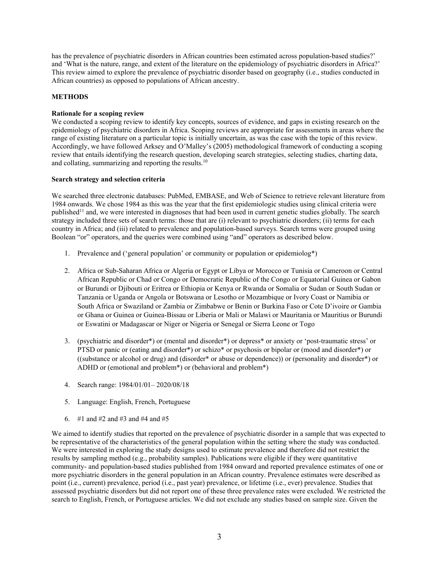has the prevalence of psychiatric disorders in African countries been estimated across population-based studies?' and 'What is the nature, range, and extent of the literature on the epidemiology of psychiatric disorders in Africa?' This review aimed to explore the prevalence of psychiatric disorder based on geography (i.e., studies conducted in African countries) as opposed to populations of African ancestry.

## **METHODS**

## **Rationale for a scoping review**

We conducted a scoping review to identify key concepts, sources of evidence, and gaps in existing research on the epidemiology of psychiatric disorders in Africa. Scoping reviews are appropriate for assessments in areas where the range of existing literature on a particular topic is initially uncertain, as was the case with the topic of this review. Accordingly, we have followed Arksey and O'Malley's (2005) methodological framework of conducting a scoping review that entails identifying the research question, developing search strategies, selecting studies, charting data, and collating, summarizing and reporting the results.<sup>10</sup>

## **Search strategy and selection criteria**

We searched three electronic databases: PubMed, EMBASE, and Web of Science to retrieve relevant literature from 1984 onwards. We chose 1984 as this was the year that the first epidemiologic studies using clinical criteria were published<sup>11</sup> and, we were interested in diagnoses that had been used in current genetic studies globally. The search strategy included three sets of search terms: those that are (i) relevant to psychiatric disorders; (ii) terms for each country in Africa; and (iii) related to prevalence and population-based surveys. Search terms were grouped using Boolean "or" operators, and the queries were combined using "and" operators as described below.

- 1. Prevalence and ('general population' or community or population or epidemiolog\*)
- 2. Africa or Sub-Saharan Africa or Algeria or Egypt or Libya or Morocco or Tunisia or Cameroon or Central African Republic or Chad or Congo or Democratic Republic of the Congo or Equatorial Guinea or Gabon or Burundi or Djibouti or Eritrea or Ethiopia or Kenya or Rwanda or Somalia or Sudan or South Sudan or Tanzania or Uganda or Angola or Botswana or Lesotho or Mozambique or Ivory Coast or Namibia or South Africa or Swaziland or Zambia or Zimbabwe or Benin or Burkina Faso or Cote D'ivoire or Gambia or Ghana or Guinea or Guinea-Bissau or Liberia or Mali or Malawi or Mauritania or Mauritius or Burundi or Eswatini or Madagascar or Niger or Nigeria or Senegal or Sierra Leone or Togo
- 3. (psychiatric and disorder\*) or (mental and disorder\*) or depress\* or anxiety or 'post-traumatic stress' or PTSD or panic or (eating and disorder\*) or schizo\* or psychosis or bipolar or (mood and disorder\*) or ((substance or alcohol or drug) and (disorder\* or abuse or dependence)) or (personality and disorder\*) or ADHD or (emotional and problem\*) or (behavioral and problem\*)
- 4. Search range: 1984/01/01– 2020/08/18
- 5. Language: English, French, Portuguese
- 6.  $\#1$  and  $\#2$  and  $\#3$  and  $\#4$  and  $\#5$

We aimed to identify studies that reported on the prevalence of psychiatric disorder in a sample that was expected to be representative of the characteristics of the general population within the setting where the study was conducted. We were interested in exploring the study designs used to estimate prevalence and therefore did not restrict the results by sampling method (e.g., probability samples). Publications were eligible if they were quantitative community- and population-based studies published from 1984 onward and reported prevalence estimates of one or more psychiatric disorders in the general population in an African country. Prevalence estimates were described as point (i.e., current) prevalence, period (i.e., past year) prevalence, or lifetime (i.e., ever) prevalence. Studies that assessed psychiatric disorders but did not report one of these three prevalence rates were excluded. We restricted the search to English, French, or Portuguese articles. We did not exclude any studies based on sample size. Given the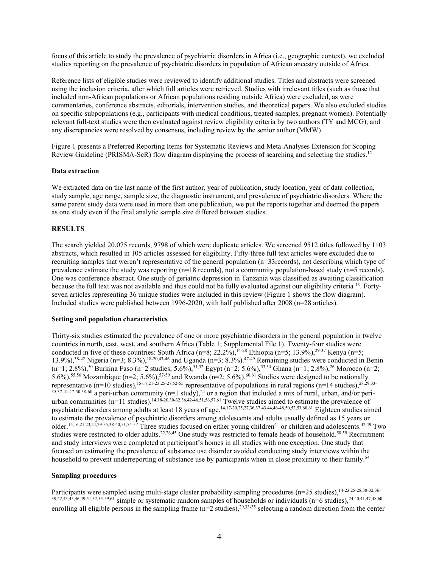focus of this article to study the prevalence of psychiatric disorders in Africa (i.e., geographic context), we excluded studies reporting on the prevalence of psychiatric disorders in population of African ancestry outside of Africa.

Reference lists of eligible studies were reviewed to identify additional studies. Titles and abstracts were screened using the inclusion criteria, after which full articles were retrieved. Studies with irrelevant titles (such as those that included non-African populations or African populations residing outside Africa) were excluded, as were commentaries, conference abstracts, editorials, intervention studies, and theoretical papers. We also excluded studies on specific subpopulations (e.g., participants with medical conditions, treated samples, pregnant women). Potentially relevant full-text studies were then evaluated against review eligibility criteria by two authors (TY and MCG), and any discrepancies were resolved by consensus, including review by the senior author (MMW).

Figure 1 presents a Preferred Reporting Items for Systematic Reviews and Meta-Analyses Extension for Scoping Review Guideline (PRISMA-ScR) flow diagram displaying the process of searching and selecting the studies.<sup>12</sup>

#### **Data extraction**

We extracted data on the last name of the first author, year of publication, study location, year of data collection, study sample, age range, sample size, the diagnostic instrument, and prevalence of psychiatric disorders. Where the same parent study data were used in more than one publication, we put the reports together and deemed the papers as one study even if the final analytic sample size differed between studies.

#### **RESULTS**

The search yielded 20,075 records, 9798 of which were duplicate articles. We screened 9512 titles followed by 1103 abstracts, which resulted in 105 articles assessed for eligibility. Fifty-three full text articles were excluded due to recruiting samples that weren't representative of the general population (n=33records), not describing which type of prevalence estimate the study was reporting (n=18 records), not a community population-based study (n=5 records). One was conference abstract. One study of geriatric depression in Tanzania was classified as awaiting classification because the full text was not available and thus could not be fully evaluated against our eligibility criteria <sup>13</sup>. Fortyseven articles representing 36 unique studies were included in this review (Figure 1 shows the flow diagram). Included studies were published between 1996-2020, with half published after 2008 (n=28 articles).

#### **Setting and population characteristics**

Thirty-six studies estimated the prevalence of one or more psychiatric disorders in the general population in twelve countries in north, east, west, and southern Africa (Table 1; Supplemental File 1). Twenty-four studies were conducted in five of these countries: South Africa  $(n=8; 22.2\%)$ ,  $^{14-28}$  Ethiopia  $(n=5; 13.9\%)$ ,  $^{29-37}$  Kenya  $(n=5;$ 13.9%),<sup>38-42</sup> Nigeria (n=3; 8.3%),<sup>18-20,43-46</sup> and Uganda (n=3; 8.3%).<sup>47-49</sup> Remaining studies were conducted in Benin (n=1; 2.8%),<sup>50</sup> Burkina Faso (n=2 studies; 5.6%),<sup>51,52</sup> Egypt (n=2; 5.6%),<sup>53,54</sup> Ghana (n=1; 2.8%),<sup>26</sup> Morocco (n=2; 5.6%),<sup>55,56</sup> Mozambique (n=2; 5.6%),<sup>57-59</sup> and Rwanda (n=2; 5.6%).<sup>60,61</sup> Studies were designed to be nationally representative  $(n=10 \text{ studies})$ ,  $15-17,21-23,25-27,52-55$  representative of populations in rural regions  $(n=14 \text{ studies})$ ,  $28,29,33 35,37-41,47-50,58-60$  a peri-urban community (n=1 study), $24$  or a region that included a mix of rural, urban, and/or periurban communities (n=11 studies). 14,18-20,30-32,36,42-46,51,56,57,61 Twelve studies aimed to estimate the prevalence of psychiatric disorders among adults at least 18 years of age. 14,17-20,25,27,36,37,43,44,46-48,50,52,53,60,61 Eighteen studies aimed to estimate the prevalence of psychiatric disorders among adolescents and adults usually defined as 15 years or older.<sup>15,16,21,23,24,29-35,38-40,51,54-57</sup> Three studies focused on either young children<sup>41</sup> or children and adolescents.<sup>42,49</sup> Two studies were restricted to older adults.<sup>22,26,45</sup> One study was restricted to female heads of household.<sup>58,59</sup> Recruitment and study interviews were completed at participant's homes in all studies with one exception. One study that focused on estimating the prevalence of substance use disorder avoided conducting study interviews within the household to prevent underreporting of substance use by participants when in close proximity to their family.<sup>54</sup>

#### **Sampling procedures**

Participants were sampled using multi-stage cluster probability sampling procedures (n=25 studies), 14-23,25-28,30-32,36- $39,42,43,45,46,49,51,52,55-59,61$  simple or systematic random samples of households or individuals (n=6 studies), $24,40,41,47,48,60$ enrolling all eligible persons in the sampling frame  $(n=2 \text{ studies})$ ,  $2^{9,33-35}$  selecting a random direction from the center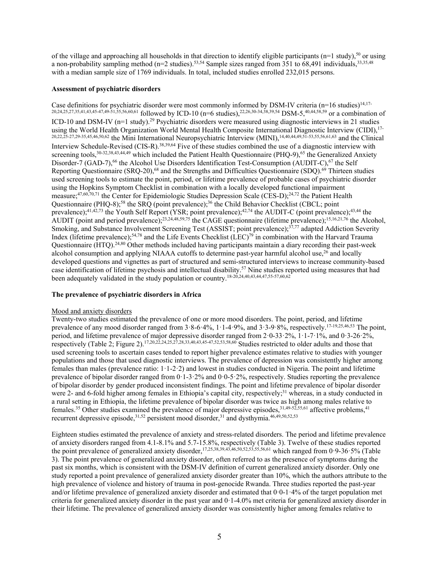of the village and approaching all households in that direction to identify eligible participants ( $n=1$  study),<sup>50</sup> or using a non-probability sampling method ( $n=2$  studies).<sup>53,54</sup> Sample sizes ranged from 351 to 68,491 individuals,<sup>33,35,48</sup> with a median sample size of 1769 individuals. In total, included studies enrolled 232,015 persons.

#### **Assessment of psychiatric disorders**

Case definitions for psychiatric disorder were most commonly informed by DSM-IV criteria ( $n=16$  studies)<sup>14,17-</sup> 20,24,25,27,35,41,43,45-47,49-51,55,56,60,61 followed by ICD-10 (n=6 studies),<sup>22,26,30-34,38,39,54</sup> DSM-5,<sup>40,44,58,59</sup> or a combination of ICD-10 and DSM-IV (n=1 study).<sup>29</sup> Psychiatric disorders were measured using diagnostic interviews in 21 studies using the World Health Organization World Mental Health Composite International Diagnostic Interview (CIDI), <sup>17-</sup>  $^{20,22,25-27,29-35,45,46,50,62}$  the Mini International Neuropsychiatric Interview (MINI),  $^{14,40,44,49,51-53,55,56,61,63}$  and the Clinical Interview Schedule-Revised (CIS-R).<sup>38,39,64</sup> Five of these studies combined the use of a diagnostic interview with screening tools, <sup>30-32,38,43,44,49</sup> which included the Patient Health Questionnaire (PHQ-9), <sup>65</sup> the Generalized Anxiety Disorder-7 (GAD-7),<sup>66</sup> the Alcohol Use Disorders Identification Test-Consumption (AUDIT-C),<sup>67</sup> the Self Reporting Questionnaire (SRQ-20),<sup>68</sup> and the Strengths and Difficulties Questionnaire (SDQ).<sup>69</sup> Thirteen studies used screening tools to estimate the point, period, or lifetime prevalence of probable cases of psychiatric disorder using the Hopkins Symptom Checklist in combination with a locally developed functional impairment measure;<sup>47,60,70,71</sup> the Center for Epidemiologic Studies Depression Scale (CES-D);<sup>24,72</sup> the Patient Health Questionnaire (PHQ-8);<sup>58</sup> the SRQ (point prevalence);<sup>36</sup> the Child Behavior Checklist (CBCL; point prevalence);<sup>41,42,73</sup> the Youth Self Report (YSR; point prevalence);<sup>42,74</sup> the AUDIT-C (point prevalence);<sup>43,44</sup> the AUDIT (point and period prevalence);<sup>23,24,48,59,75</sup> the CAGE questionnaire (lifetime prevalence);<sup>15,16,21,76</sup> the Alcohol, Smoking, and Substance Involvement Screening Test (ASSIST; point prevalence);<sup>37,77</sup> adapted Addiction Severity Index (lifetime prevalence);<sup>54,78</sup> and the Life Events Checklist (LEC)<sup>79</sup> in combination with the Harvard Trauma Questionnaire (HTQ).<sup>24,80</sup> Other methods included having participants maintain a diary recording their past-week alcohol consumption and applying NIAAA cutoffs to determine past-year harmful alcohol use, <sup>26</sup> and locally developed questions and vignettes as part of structured and semi-structured interviews to increase community-based case identification of lifetime psychosis and intellectual disability. <sup>57</sup> Nine studies reported using measures that had been adequately validated in the study population or country. 18-20,24,40,43,44,47,55-57,60,62

#### **The prevalence of psychiatric disorders in Africa**

#### Mood and anxiety disorders

Twenty-two studies estimated the prevalence of one or more mood disorders. The point, period, and lifetime prevalence of any mood disorder ranged from 3.8-6.4%, 1.1-4.9%, and 3.3-9.8%, respectively.<sup>17-19,25,46,53</sup> The point, period, and lifetime prevalence of major depressive disorder ranged from 2·0-33·2%, 1·1-7·1%, and 0·3-26·2%, respectively (Table 2: Figure 2).<sup>17,20,22,24,25,27,28,33,40,43,45-47,52,53,58,60</sup> Studies restricted to older adults and those that used screening tools to ascertain cases tended to report higher prevalence estimates relative to studies with younger populations and those that used diagnostic interviews. The prevalence of depression was consistently higher among females than males (prevalence ratio:  $1 \cdot 1 \cdot 2 \cdot 2$ ) and lowest in studies conducted in Nigeria. The point and lifetime prevalence of bipolar disorder ranged from 0·1-3·2% and 0·0-5·2%, respectively. Studies reporting the prevalence of bipolar disorder by gender produced inconsistent findings. The point and lifetime prevalence of bipolar disorder were 2- and 6-fold higher among females in Ethiopia's capital city, respectively;<sup>31</sup> whereas, in a study conducted in a rural setting in Ethiopia, the lifetime prevalence of bipolar disorder was twice as high among males relative to females.<sup>35</sup> Other studies examined the prevalence of major depressive episodes, <sup>31,49-52,55,61</sup> affective problems, <sup>41</sup> recurrent depressive episode,<sup>31,52</sup> persistent mood disorder,<sup>31</sup> and dysthymia.<sup>46,49,50,52,53</sup>

Eighteen studies estimated the prevalence of anxiety and stress-related disorders. The period and lifetime prevalence of anxiety disorders ranged from 4.1-8.1% and 5.7-15.8%, respectively (Table 3). Twelve of these studies reported the point prevalence of generalized anxiety disorder,<sup>17,25,38,39,43,46,50,52,53,55,56,61</sup> which ranged from 0·9-36·5% (Table 3). The point prevalence of generalized anxiety disorder, often referred to as the presence of symptoms during the past six months, which is consistent with the DSM-IV definition of current generalized anxiety disorder. Only one study reported a point prevalence of generalized anxiety disorder greater than 10%, which the authors attribute to the high prevalence of violence and history of trauma in post-genocide Rwanda. Three studies reported the past-year and/or lifetime prevalence of generalized anxiety disorder and estimated that 0·0-1·4% of the target population met criteria for generalized anxiety disorder in the past year and 0·1-4.0% met criteria for generalized anxiety disorder in their lifetime. The prevalence of generalized anxiety disorder was consistently higher among females relative to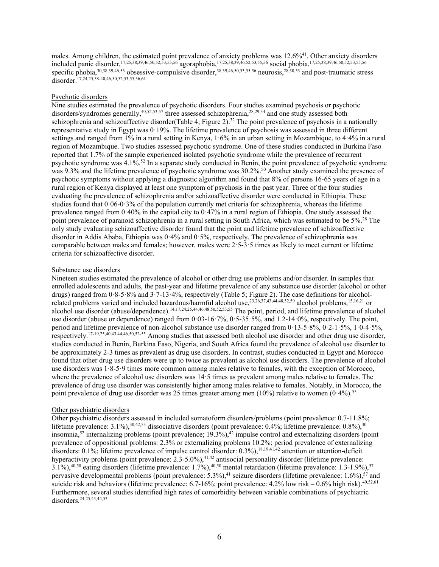males. Among children, the estimated point prevalence of anxiety problems was 12.6%<sup>41</sup>. Other anxiety disorders included panic disorder,<sup>17,25,38,39,46,50,52,53,55,56</sup> agoraphobia,<sup>17,25,38,39,46,52,53,55,56</sup> social phobia,<sup>17,25,38,39,46,50,52,53,55,56</sup> specific phobia, 30,38,39,46,53 obsessive-compulsive disorder, 38,39,46,50,53,55,56 neurosis, 28,30,53 and post-traumatic stress disorder. 17,24,25,38-40,46,50,52,53,55,56,61

#### Psychotic disorders

Nine studies estimated the prevalence of psychotic disorders. Four studies examined psychosis or psychotic disorders/syndromes generally,<sup>40,52,53,57</sup> three assessed schizophrenia,<sup>28,29,34</sup> and one study assessed both schizophrenia and schizoaffective disorder(Table 4; Figure 2).<sup>32</sup> The point prevalence of psychosis in a nationally representative study in Egypt was 0·19%. The lifetime prevalence of psychosis was assessed in three different settings and ranged from 1% in a rural setting in Kenya, 1·6% in an urban setting in Mozambique, to 4·4% in a rural region of Mozambique. Two studies assessed psychotic syndrome. One of these studies conducted in Burkina Faso reported that 1.7% of the sample experienced isolated psychotic syndrome while the prevalence of recurrent psychotic syndrome was 4.1%.<sup>52</sup> In a separate study conducted in Benin, the point prevalence of psychotic syndrome was 9.3% and the lifetime prevalence of psychotic syndrome was 30.2%.<sup>50</sup> Another study examined the presence of psychotic symptoms without applying a diagnostic algorithm and found that 8% of persons 16-65 years of age in a rural region of Kenya displayed at least one symptom of psychosis in the past year. Three of the four studies evaluating the prevalence of schizophrenia and/or schizoaffective disorder were conducted in Ethiopia. These studies found that 0·06-0·3% of the population currently met criteria for schizophrenia, whereas the lifetime prevalence ranged from 0·40% in the capital city to 0·47% in a rural region of Ethiopia. One study assessed the point prevalence of paranoid schizophrenia in a rural setting in South Africa, which was estimated to be 5%. <sup>28</sup> The only study evaluating schizoaffective disorder found that the point and lifetime prevalence of schizoaffective disorder in Addis Ababa, Ethiopia was 0·4% and 0·5%, respectively. The prevalence of schizophrenia was comparable between males and females; however, males were 2·5-3·5 times as likely to meet current or lifetime criteria for schizoaffective disorder.

#### Substance use disorders

Nineteen studies estimated the prevalence of alcohol or other drug use problems and/or disorder. In samples that enrolled adolescents and adults, the past-year and lifetime prevalence of any substance use disorder (alcohol or other drugs) ranged from 0·8-5·8% and 3·7-13·4%, respectively (Table 5; Figure 2). The case definitions for alcoholrelated problems varied and included hazardous/harmful alcohol use,<sup>23,26,37,43,44,48,52,59</sup> alcohol problems,<sup>15,16,21</sup> or alcohol use disorder (abuse/dependence).<sup>14,17,24,25,44,46,48,50,52,53,55</sup> The point, period, and lifetime prevalence of alcohol use disorder (abuse or dependence) ranged from 0·03-16·7%, 0·5-35·5%, and 1.2-14·0%, respectively. The point, period and lifetime prevalence of non-alcohol substance use disorder ranged from 0·13-5·8%, 0·2-1·5%, 1·0-4·5%, respectively.<sup>17-19,25,40,43,44,46,50,52-55</sup> Among studies that assessed both alcohol use disorder and other drug use disorder, studies conducted in Benin, Burkina Faso, Nigeria, and South Africa found the prevalence of alcohol use disorder to be approximately 2-3 times as prevalent as drug use disorders. In contrast, studies conducted in Egypt and Morocco found that other drug use disorders were up to twice as prevalent as alcohol use disorders. The prevalence of alcohol use disorders was 1·8-5·9 times more common among males relative to females, with the exception of Morocco, where the prevalence of alcohol use disorders was 14·5 times as prevalent among males relative to females. The prevalence of drug use disorder was consistently higher among males relative to females. Notably, in Morocco, the point prevalence of drug use disorder was 25 times greater among men (10%) relative to women (0·4%).<sup>55</sup>

#### Other psychiatric disorders

Other psychiatric disorders assessed in included somatoform disorders/problems (point prevalence: 0.7-11.8%; lifetime prevalence: 3.1%),<sup>30,42,53</sup> dissociative disorders (point prevalence: 0.4%; lifetime prevalence: 0.8%),<sup>30</sup> insomnia, <sup>52</sup> internalizing problems (point prevalence; 19.3%), <sup>42</sup> impulse control and externalizing disorders (point prevalence of oppositional problems: 2.3% or externalizing problems 10.2%; period prevalence of externalizing disorders: 0.1%; lifetime prevalence of impulse control disorder: 0.3%), 18,19,41,42 attention or attention-deficit hyperactivity problems (point prevalence:  $2.3 - 5.0\%$ ),<sup>41,42</sup> antisocial personality disorder (lifetime prevalence: 3.1%), $^{40,50}$  eating disorders (lifetime prevalence: 1.7%), $^{40,50}$  mental retardation (lifetime prevalence: 1.3-1.9%), $^{57}$ pervasive developmental problems (point prevalence: 5.3%), <sup>41</sup> seizure disorders (lifetime prevalence: 1.6%), <sup>57</sup> and suicide risk and behaviors (lifetime prevalence: 6.7-16%; point prevalence: 4.2% low risk – 0.6% high risk).<sup>40,52,61</sup> Furthermore, several studies identified high rates of comorbidity between variable combinations of psychiatric disorders. 24,25,43,44,53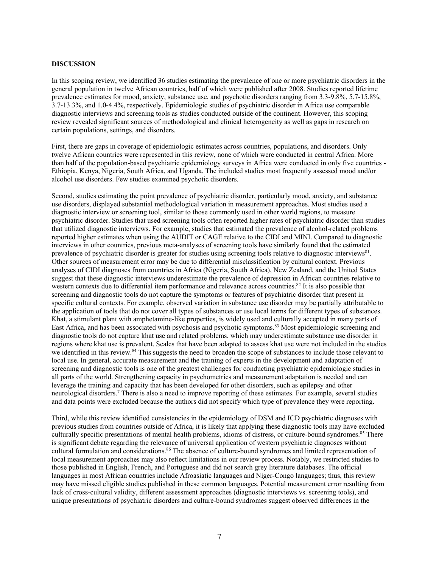#### **DISCUSSION**

In this scoping review, we identified 36 studies estimating the prevalence of one or more psychiatric disorders in the general population in twelve African countries, half of which were published after 2008. Studies reported lifetime prevalence estimates for mood, anxiety, substance use, and psychotic disorders ranging from 3.3-9.8%, 5.7-15.8%, 3.7-13.3%, and 1.0-4.4%, respectively. Epidemiologic studies of psychiatric disorder in Africa use comparable diagnostic interviews and screening tools as studies conducted outside of the continent. However, this scoping review revealed significant sources of methodological and clinical heterogeneity as well as gaps in research on certain populations, settings, and disorders.

First, there are gaps in coverage of epidemiologic estimates across countries, populations, and disorders. Only twelve African countries were represented in this review, none of which were conducted in central Africa. More than half of the population-based psychiatric epidemiology surveys in Africa were conducted in only five countries - Ethiopia, Kenya, Nigeria, South Africa, and Uganda. The included studies most frequently assessed mood and/or alcohol use disorders. Few studies examined psychotic disorders.

Second, studies estimating the point prevalence of psychiatric disorder, particularly mood, anxiety, and substance use disorders, displayed substantial methodological variation in measurement approaches. Most studies used a diagnostic interview or screening tool, similar to those commonly used in other world regions, to measure psychiatric disorder. Studies that used screening tools often reported higher rates of psychiatric disorder than studies that utilized diagnostic interviews. For example, studies that estimated the prevalence of alcohol-related problems reported higher estimates when using the AUDIT or CAGE relative to the CIDI and MINI. Compared to diagnostic interviews in other countries, previous meta-analyses of screening tools have similarly found that the estimated prevalence of psychiatric disorder is greater for studies using screening tools relative to diagnostic interviews<sup>81</sup>. Other sources of measurement error may be due to differential misclassification by cultural context. Previous analyses of CIDI diagnoses from countries in Africa (Nigeria, South Africa), New Zealand, and the United States suggest that these diagnostic interviews underestimate the prevalence of depression in African countries relative to western contexts due to differential item performance and relevance across countries.<sup>82</sup> It is also possible that screening and diagnostic tools do not capture the symptoms or features of psychiatric disorder that present in specific cultural contexts. For example, observed variation in substance use disorder may be partially attributable to the application of tools that do not cover all types of substances or use local terms for different types of substances. Khat, a stimulant plant with amphetamine-like properties, is widely used and culturally accepted in many parts of East Africa, and has been associated with psychosis and psychotic symptoms. <sup>83</sup> Most epidemiologic screening and diagnostic tools do not capture khat use and related problems, which may underestimate substance use disorder in regions where khat use is prevalent. Scales that have been adapted to assess khat use were not included in the studies we identified in this review.<sup>84</sup> This suggests the need to broaden the scope of substances to include those relevant to local use. In general, accurate measurement and the training of experts in the development and adaptation of screening and diagnostic tools is one of the greatest challenges for conducting psychiatric epidemiologic studies in all parts of the world. Strengthening capacity in psychometrics and measurement adaptation is needed and can leverage the training and capacity that has been developed for other disorders, such as epilepsy and other neurological disorders. <sup>7</sup> There is also a need to improve reporting of these estimates. For example, several studies and data points were excluded because the authors did not specify which type of prevalence they were reporting.

Third, while this review identified consistencies in the epidemiology of DSM and ICD psychiatric diagnoses with previous studies from countries outside of Africa, it is likely that applying these diagnostic tools may have excluded culturally specific presentations of mental health problems, idioms of distress, or culture-bound syndromes. <sup>85</sup> There is significant debate regarding the relevance of universal application of western psychiatric diagnoses without cultural formulation and considerations. <sup>86</sup> The absence of culture-bound syndromes and limited representation of local measurement approaches may also reflect limitations in our review process. Notably, we restricted studies to those published in English, French, and Portuguese and did not search grey literature databases. The official languages in most African countries include Afroasiatic languages and Niger-Congo languages; thus, this review may have missed eligible studies published in these common languages. Potential measurement error resulting from lack of cross-cultural validity, different assessment approaches (diagnostic interviews vs. screening tools), and unique presentations of psychiatric disorders and culture-bound syndromes suggest observed differences in the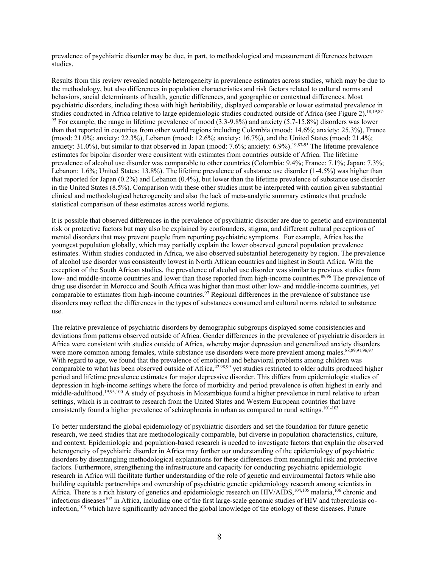prevalence of psychiatric disorder may be due, in part, to methodological and measurement differences between studies.

Results from this review revealed notable heterogeneity in prevalence estimates across studies, which may be due to the methodology, but also differences in population characteristics and risk factors related to cultural norms and behaviors, social determinants of health, genetic differences, and geographic or contextual differences. Most psychiatric disorders, including those with high heritability, displayed comparable or lower estimated prevalence in studies conducted in Africa relative to large epidemiologic studies conducted outside of Africa (see Figure 2).<sup>18,19,87-</sup> <sup>95</sup> For example, the range in lifetime prevalence of mood (3.3-9.8%) and anxiety (5.7-15.8%) disorders was lower than that reported in countries from other world regions including Colombia (mood: 14.6%; anxiety: 25.3%), France (mood: 21.0%; anxiety: 22.3%), Lebanon (mood: 12.6%; anxiety: 16.7%), and the United States (mood: 21.4%; anxiety: 31.0%), but similar to that observed in Japan (mood: 7.6%; anxiety: 6.9%). 19,87-95 The lifetime prevalence estimates for bipolar disorder were consistent with estimates from countries outside of Africa. The lifetime prevalence of alcohol use disorder was comparable to other countries (Colombia: 9.4%; France: 7.1%; Japan: 7.3%; Lebanon: 1.6%; United States: 13.8%). The lifetime prevalence of substance use disorder (1-4.5%) was higher than that reported for Japan (0.2%) and Lebanon (0.4%), but lower than the lifetime prevalence of substance use disorder in the United States (8.5%). Comparison with these other studies must be interpreted with caution given substantial clinical and methodological heterogeneity and also the lack of meta-analytic summary estimates that preclude statistical comparison of these estimates across world regions.

It is possible that observed differences in the prevalence of psychiatric disorder are due to genetic and environmental risk or protective factors but may also be explained by confounders, stigma, and different cultural perceptions of mental disorders that may prevent people from reporting psychiatric symptoms. For example, Africa has the youngest population globally, which may partially explain the lower observed general population prevalence estimates. Within studies conducted in Africa, we also observed substantial heterogeneity by region. The prevalence of alcohol use disorder was consistently lowest in North African countries and highest in South Africa. With the exception of the South African studies, the prevalence of alcohol use disorder was similar to previous studies from low- and middle-income countries and lower than those reported from high-income countries.<sup>89,96</sup> The prevalence of drug use disorder in Morocco and South Africa was higher than most other low- and middle-income countries, yet comparable to estimates from high-income countries.<sup>97</sup> Regional differences in the prevalence of substance use disorders may reflect the differences in the types of substances consumed and cultural norms related to substance use.

The relative prevalence of psychiatric disorders by demographic subgroups displayed some consistencies and deviations from patterns observed outside of Africa. Gender differences in the prevalence of psychiatric disorders in Africa were consistent with studies outside of Africa, whereby major depression and generalized anxiety disorders were more common among females, while substance use disorders were more prevalent among males.<sup>88,89,91,96,97</sup> With regard to age, we found that the prevalence of emotional and behavioral problems among children was comparable to what has been observed outside of Africa, 42,98,99 yet studies restricted to older adults produced higher period and lifetime prevalence estimates for major depressive disorder. This differs from epidemiologic studies of depression in high-income settings where the force of morbidity and period prevalence is often highest in early and middle-adulthood. 19,93,100 A study of psychosis in Mozambique found a higher prevalence in rural relative to urban settings, which is in contrast to research from the United States and Western European countries that have consistently found a higher prevalence of schizophrenia in urban as compared to rural settings. 101-103

To better understand the global epidemiology of psychiatric disorders and set the foundation for future genetic research, we need studies that are methodologically comparable, but diverse in population characteristics, culture, and context. Epidemiologic and population-based research is needed to investigate factors that explain the observed heterogeneity of psychiatric disorder in Africa may further our understanding of the epidemiology of psychiatric disorders by disentangling methodological explanations for these differences from meaningful risk and protective factors. Furthermore, strengthening the infrastructure and capacity for conducting psychiatric epidemiologic research in Africa will facilitate further understanding of the role of genetic and environmental factors while also building equitable partnerships and ownership of psychiatric genetic epidemiology research among scientists in Africa. There is a rich history of genetics and epidemiologic research on HIV/AIDS,<sup>104,105</sup> malaria,<sup>106</sup> chronic and infectious diseases<sup>107</sup> in Africa, including one of the first large-scale genomic studies of HIV and tuberculosis coinfection, <sup>108</sup> which have significantly advanced the global knowledge of the etiology of these diseases. Future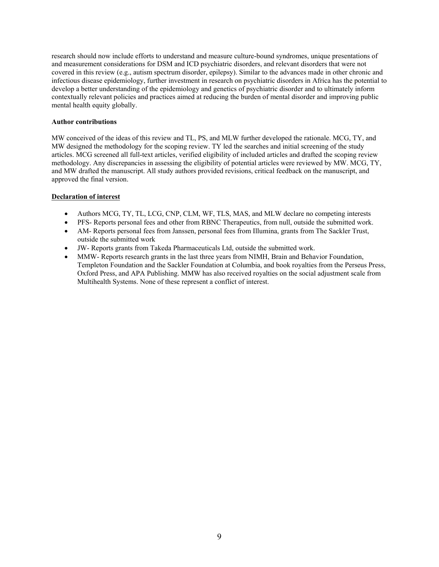research should now include efforts to understand and measure culture-bound syndromes, unique presentations of and measurement considerations for DSM and ICD psychiatric disorders, and relevant disorders that were not covered in this review (e.g., autism spectrum disorder, epilepsy). Similar to the advances made in other chronic and infectious disease epidemiology, further investment in research on psychiatric disorders in Africa has the potential to develop a better understanding of the epidemiology and genetics of psychiatric disorder and to ultimately inform contextually relevant policies and practices aimed at reducing the burden of mental disorder and improving public mental health equity globally.

#### **Author contributions**

MW conceived of the ideas of this review and TL, PS, and MLW further developed the rationale. MCG, TY, and MW designed the methodology for the scoping review. TY led the searches and initial screening of the study articles. MCG screened all full-text articles, verified eligibility of included articles and drafted the scoping review methodology. Any discrepancies in assessing the eligibility of potential articles were reviewed by MW. MCG, TY, and MW drafted the manuscript. All study authors provided revisions, critical feedback on the manuscript, and approved the final version.

## **Declaration of interest**

- Authors MCG, TY, TL, LCG, CNP, CLM, WF, TLS, MAS, and MLW declare no competing interests
- PFS- Reports personal fees and other from RBNC Therapeutics, from null, outside the submitted work.
- AM- Reports personal fees from Janssen, personal fees from Illumina, grants from The Sackler Trust, outside the submitted work
- JW- Reports grants from Takeda Pharmaceuticals Ltd, outside the submitted work.
- MMW- Reports research grants in the last three years from NIMH, Brain and Behavior Foundation, Templeton Foundation and the Sackler Foundation at Columbia, and book royalties from the Perseus Press, Oxford Press, and APA Publishing. MMW has also received royalties on the social adjustment scale from Multihealth Systems. None of these represent a conflict of interest.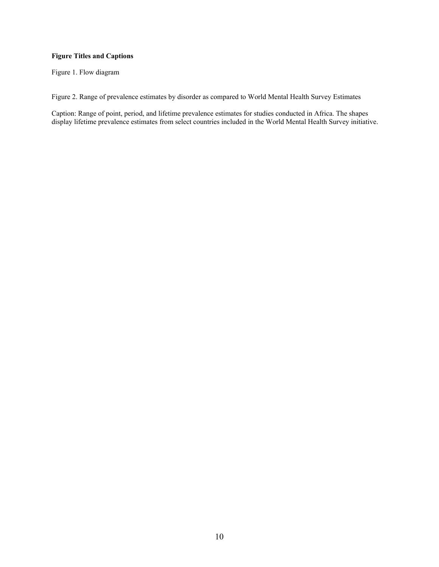## **Figure Titles and Captions**

Figure 1. Flow diagram

Figure 2. Range of prevalence estimates by disorder as compared to World Mental Health Survey Estimates

Caption: Range of point, period, and lifetime prevalence estimates for studies conducted in Africa. The shapes display lifetime prevalence estimates from select countries included in the World Mental Health Survey initiative.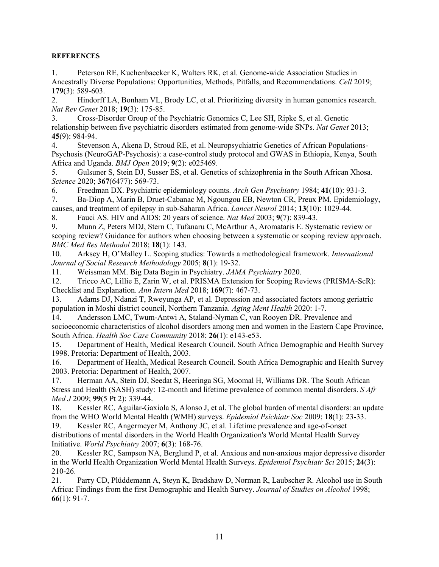## **REFERENCES**

1. Peterson RE, Kuchenbaecker K, Walters RK, et al. Genome-wide Association Studies in Ancestrally Diverse Populations: Opportunities, Methods, Pitfalls, and Recommendations. *Cell* 2019; **179**(3): 589-603.

2. Hindorff LA, Bonham VL, Brody LC, et al. Prioritizing diversity in human genomics research. *Nat Rev Genet* 2018; **19**(3): 175-85.

3. Cross-Disorder Group of the Psychiatric Genomics C, Lee SH, Ripke S, et al. Genetic relationship between five psychiatric disorders estimated from genome-wide SNPs. *Nat Genet* 2013; **45**(9): 984-94.

4. Stevenson A, Akena D, Stroud RE, et al. Neuropsychiatric Genetics of African Populations-Psychosis (NeuroGAP-Psychosis): a case-control study protocol and GWAS in Ethiopia, Kenya, South Africa and Uganda. *BMJ Open* 2019; **9**(2): e025469.

5. Gulsuner S, Stein DJ, Susser ES, et al. Genetics of schizophrenia in the South African Xhosa. *Science* 2020; **367**(6477): 569-73.

6. Freedman DX. Psychiatric epidemiology counts. *Arch Gen Psychiatry* 1984; **41**(10): 931-3.

7. Ba-Diop A, Marin B, Druet-Cabanac M, Ngoungou EB, Newton CR, Preux PM. Epidemiology, causes, and treatment of epilepsy in sub-Saharan Africa. *Lancet Neurol* 2014; **13**(10): 1029-44.

8. Fauci AS. HIV and AIDS: 20 years of science. *Nat Med* 2003; **9**(7): 839-43.

9. Munn Z, Peters MDJ, Stern C, Tufanaru C, McArthur A, Aromataris E. Systematic review or scoping review? Guidance for authors when choosing between a systematic or scoping review approach. *BMC Med Res Methodol* 2018; **18**(1): 143.

10. Arksey H, O'Malley L. Scoping studies: Towards a methodological framework. *International Journal of Social Research Methodology* 2005; **8**(1): 19-32.

11. Weissman MM. Big Data Begin in Psychiatry. *JAMA Psychiatry* 2020.

12. Tricco AC, Lillie E, Zarin W, et al. PRISMA Extension for Scoping Reviews (PRISMA-ScR): Checklist and Explanation. *Ann Intern Med* 2018; **169**(7): 467-73.

13. Adams DJ, Ndanzi T, Rweyunga AP, et al. Depression and associated factors among geriatric population in Moshi district council, Northern Tanzania. *Aging Ment Health* 2020: 1-7.

14. Andersson LMC, Twum-Antwi A, Staland-Nyman C, van Rooyen DR. Prevalence and socioeconomic characteristics of alcohol disorders among men and women in the Eastern Cape Province, South Africa. *Health Soc Care Community* 2018; **26**(1): e143-e53.

15. Department of Health, Medical Research Council. South Africa Demographic and Health Survey 1998. Pretoria: Department of Health, 2003.

16. Department of Health, Medical Research Council. South Africa Demographic and Health Survey 2003. Pretoria: Department of Health, 2007.

17. Herman AA, Stein DJ, Seedat S, Heeringa SG, Moomal H, Williams DR. The South African Stress and Health (SASH) study: 12-month and lifetime prevalence of common mental disorders. *S Afr Med J* 2009; **99**(5 Pt 2): 339-44.

18. Kessler RC, Aguilar-Gaxiola S, Alonso J, et al. The global burden of mental disorders: an update from the WHO World Mental Health (WMH) surveys. *Epidemiol Psichiatr Soc* 2009; **18**(1): 23-33.

19. Kessler RC, Angermeyer M, Anthony JC, et al. Lifetime prevalence and age-of-onset distributions of mental disorders in the World Health Organization's World Mental Health Survey Initiative. *World Psychiatry* 2007; **6**(3): 168-76.

20. Kessler RC, Sampson NA, Berglund P, et al. Anxious and non-anxious major depressive disorder in the World Health Organization World Mental Health Surveys. *Epidemiol Psychiatr Sci* 2015; **24**(3): 210-26.

21. Parry CD, Plüddemann A, Steyn K, Bradshaw D, Norman R, Laubscher R. Alcohol use in South Africa: Findings from the first Demographic and Health Survey. *Journal of Studies on Alcohol* 1998; **66**(1): 91-7.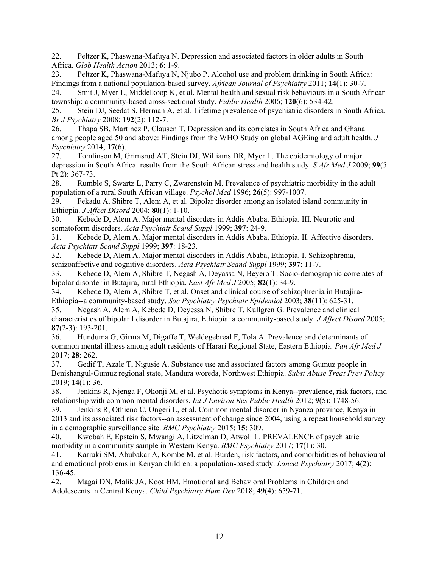22. Peltzer K, Phaswana-Mafuya N. Depression and associated factors in older adults in South Africa. *Glob Health Action* 2013; **6**: 1-9.

23. Peltzer K, Phaswana-Mafuya N, Njubo P. Alcohol use and problem drinking in South Africa: Findings from a national population-based survey. *African Journal of Psychiatry* 2011; **14**(1): 30-7.

24. Smit J, Myer L, Middelkoop K, et al. Mental health and sexual risk behaviours in a South African township: a community-based cross-sectional study. *Public Health* 2006; **120**(6): 534-42.

25. Stein DJ, Seedat S, Herman A, et al. Lifetime prevalence of psychiatric disorders in South Africa. *Br J Psychiatry* 2008; **192**(2): 112-7.

26. Thapa SB, Martinez P, Clausen T. Depression and its correlates in South Africa and Ghana among people aged 50 and above: Findings from the WHO Study on global AGEing and adult health. *J Psychiatry* 2014; **17**(6).

27. Tomlinson M, Grimsrud AT, Stein DJ, Williams DR, Myer L. The epidemiology of major depression in South Africa: results from the South African stress and health study. *S Afr Med J* 2009; **99**(5 Pt 2): 367-73.

28. Rumble S, Swartz L, Parry C, Zwarenstein M. Prevalence of psychiatric morbidity in the adult population of a rural South African village. *Psychol Med* 1996; **26**(5): 997-1007.

29. Fekadu A, Shibre T, Alem A, et al. Bipolar disorder among an isolated island community in Ethiopia. *J Affect Disord* 2004; **80**(1): 1-10.

30. Kebede D, Alem A. Major mental disorders in Addis Ababa, Ethiopia. III. Neurotic and somatoform disorders. *Acta Psychiatr Scand Suppl* 1999; **397**: 24-9.

31. Kebede D, Alem A. Major mental disorders in Addis Ababa, Ethiopia. II. Affective disorders. *Acta Psychiatr Scand Suppl* 1999; **397**: 18-23.

32. Kebede D, Alem A. Major mental disorders in Addis Ababa, Ethiopia. I. Schizophrenia, schizoaffective and cognitive disorders. *Acta Psychiatr Scand Suppl* 1999; **397**: 11-7.

33. Kebede D, Alem A, Shibre T, Negash A, Deyassa N, Beyero T. Socio-demographic correlates of bipolar disorder in Butajira, rural Ethiopia. *East Afr Med J* 2005; **82**(1): 34-9.

34. Kebede D, Alem A, Shibre T, et al. Onset and clinical course of schizophrenia in Butajira-Ethiopia--a community-based study. *Soc Psychiatry Psychiatr Epidemiol* 2003; **38**(11): 625-31.

35. Negash A, Alem A, Kebede D, Deyessa N, Shibre T, Kullgren G. Prevalence and clinical characteristics of bipolar I disorder in Butajira, Ethiopia: a community-based study. *J Affect Disord* 2005; **87**(2-3): 193-201.

36. Hunduma G, Girma M, Digaffe T, Weldegebreal F, Tola A. Prevalence and determinants of common mental illness among adult residents of Harari Regional State, Eastern Ethiopia. *Pan Afr Med J* 2017; **28**: 262.

37. Gedif T, Azale T, Nigusie A. Substance use and associated factors among Gumuz people in Benishangul-Gumuz regional state, Mandura woreda, Northwest Ethiopia. *Subst Abuse Treat Prev Policy* 2019; **14**(1): 36.

38. Jenkins R, Njenga F, Okonji M, et al. Psychotic symptoms in Kenya--prevalence, risk factors, and relationship with common mental disorders. *Int J Environ Res Public Health* 2012; **9**(5): 1748-56.

39. Jenkins R, Othieno C, Ongeri L, et al. Common mental disorder in Nyanza province, Kenya in 2013 and its associated risk factors--an assessment of change since 2004, using a repeat household survey in a demographic surveillance site. *BMC Psychiatry* 2015; **15**: 309.

40. Kwobah E, Epstein S, Mwangi A, Litzelman D, Atwoli L. PREVALENCE of psychiatric morbidity in a community sample in Western Kenya. *BMC Psychiatry* 2017; **17**(1): 30.

41. Kariuki SM, Abubakar A, Kombe M, et al. Burden, risk factors, and comorbidities of behavioural and emotional problems in Kenyan children: a population-based study. *Lancet Psychiatry* 2017; **4**(2): 136-45.

42. Magai DN, Malik JA, Koot HM. Emotional and Behavioral Problems in Children and Adolescents in Central Kenya. *Child Psychiatry Hum Dev* 2018; **49**(4): 659-71.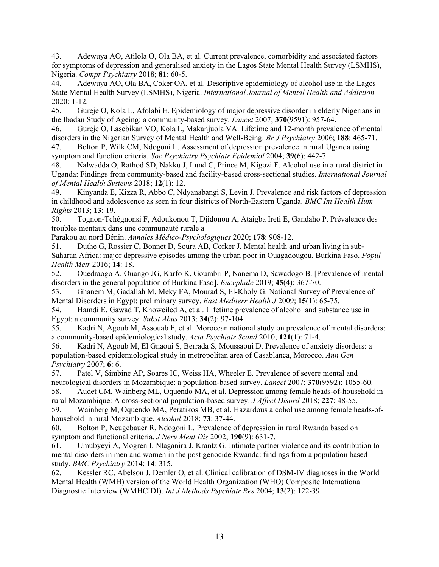43. Adewuya AO, Atilola O, Ola BA, et al. Current prevalence, comorbidity and associated factors for symptoms of depression and generalised anxiety in the Lagos State Mental Health Survey (LSMHS), Nigeria. *Compr Psychiatry* 2018; **81**: 60-5.

44. Adewuya AO, Ola BA, Coker OA, et al. Descriptive epidemiology of alcohol use in the Lagos State Mental Health Survey (LSMHS), Nigeria. *International Journal of Mental Health and Addiction* 2020: 1-12.

45. Gureje O, Kola L, Afolabi E. Epidemiology of major depressive disorder in elderly Nigerians in the Ibadan Study of Ageing: a community-based survey. *Lancet* 2007; **370**(9591): 957-64.

46. Gureje O, Lasebikan VO, Kola L, Makanjuola VA. Lifetime and 12-month prevalence of mental disorders in the Nigerian Survey of Mental Health and Well-Being. *Br J Psychiatry* 2006; **188**: 465-71.

47. Bolton P, Wilk CM, Ndogoni L. Assessment of depression prevalence in rural Uganda using symptom and function criteria. *Soc Psychiatry Psychiatr Epidemiol* 2004; **39**(6): 442-7.

48. Nalwadda O, Rathod SD, Nakku J, Lund C, Prince M, Kigozi F. Alcohol use in a rural district in Uganda: Findings from community-based and facility-based cross-sectional studies. *International Journal of Mental Health Systems* 2018; **12**(1): 12.

49. Kinyanda E, Kizza R, Abbo C, Ndyanabangi S, Levin J. Prevalence and risk factors of depression in childhood and adolescence as seen in four districts of North-Eastern Uganda. *BMC Int Health Hum Rights* 2013; **13**: 19.

50. Tognon-Tchégnonsi F, Adoukonou T, Djidonou A, Ataigba Ireti E, Gandaho P. Prévalence des troubles mentaux dans une communauté rurale a

Parakou au nord Bénin. *Annales Médico-Psychologiques* 2020; **178**: 908-12.

51. Duthe G, Rossier C, Bonnet D, Soura AB, Corker J. Mental health and urban living in sub-Saharan Africa: major depressive episodes among the urban poor in Ouagadougou, Burkina Faso. *Popul Health Metr* 2016; **14**: 18.

52. Ouedraogo A, Ouango JG, Karfo K, Goumbri P, Nanema D, Sawadogo B. [Prevalence of mental disorders in the general population of Burkina Faso]. *Encephale* 2019; **45**(4): 367-70.

53. Ghanem M, Gadallah M, Meky FA, Mourad S, El-Kholy G. National Survey of Prevalence of Mental Disorders in Egypt: preliminary survey. *East Mediterr Health J* 2009; **15**(1): 65-75.

54. Hamdi E, Gawad T, Khoweiled A, et al. Lifetime prevalence of alcohol and substance use in Egypt: a community survey. *Subst Abus* 2013; **34**(2): 97-104.

55. Kadri N, Agoub M, Assouab F, et al. Moroccan national study on prevalence of mental disorders: a community-based epidemiological study. *Acta Psychiatr Scand* 2010; **121**(1): 71-4.

56. Kadri N, Agoub M, El Gnaoui S, Berrada S, Moussaoui D. Prevalence of anxiety disorders: a population-based epidemiological study in metropolitan area of Casablanca, Morocco. *Ann Gen Psychiatry* 2007; **6**: 6.

57. Patel V, Simbine AP, Soares IC, Weiss HA, Wheeler E. Prevalence of severe mental and neurological disorders in Mozambique: a population-based survey. *Lancet* 2007; **370**(9592): 1055-60.

58. Audet CM, Wainberg ML, Oquendo MA, et al. Depression among female heads-of-household in rural Mozambique: A cross-sectional population-based survey. *J Affect Disord* 2018; **227**: 48-55.

59. Wainberg M, Oquendo MA, Peratikos MB, et al. Hazardous alcohol use among female heads-ofhousehold in rural Mozambique. *Alcohol* 2018; **73**: 37-44.

60. Bolton P, Neugebauer R, Ndogoni L. Prevalence of depression in rural Rwanda based on symptom and functional criteria. *J Nerv Ment Dis* 2002; **190**(9): 631-7.

61. Umubyeyi A, Mogren I, Ntaganira J, Krantz G. Intimate partner violence and its contribution to mental disorders in men and women in the post genocide Rwanda: findings from a population based study. *BMC Psychiatry* 2014; **14**: 315.

62. Kessler RC, Abelson J, Demler O, et al. Clinical calibration of DSM-IV diagnoses in the World Mental Health (WMH) version of the World Health Organization (WHO) Composite International Diagnostic Interview (WMHCIDI). *Int J Methods Psychiatr Res* 2004; **13**(2): 122-39.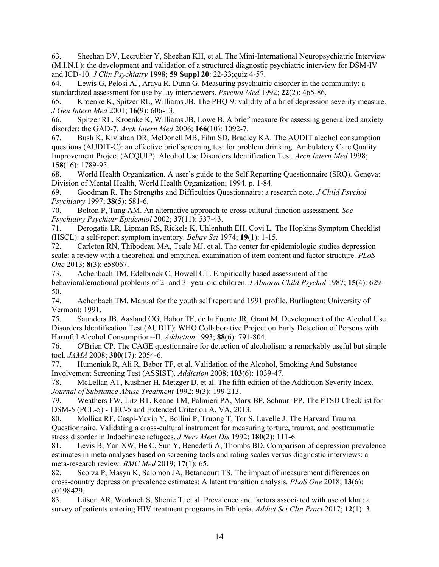63. Sheehan DV, Lecrubier Y, Sheehan KH, et al. The Mini-International Neuropsychiatric Interview (M.I.N.I.): the development and validation of a structured diagnostic psychiatric interview for DSM-IV and ICD-10. *J Clin Psychiatry* 1998; **59 Suppl 20**: 22-33;quiz 4-57.

64. Lewis G, Pelosi AJ, Araya R, Dunn G. Measuring psychiatric disorder in the community: a standardized assessment for use by lay interviewers. *Psychol Med* 1992; **22**(2): 465-86.

65. Kroenke K, Spitzer RL, Williams JB. The PHQ-9: validity of a brief depression severity measure. *J Gen Intern Med* 2001; **16**(9): 606-13.

66. Spitzer RL, Kroenke K, Williams JB, Lowe B. A brief measure for assessing generalized anxiety disorder: the GAD-7. *Arch Intern Med* 2006; **166**(10): 1092-7.

67. Bush K, Kivlahan DR, McDonell MB, Fihn SD, Bradley KA. The AUDIT alcohol consumption questions (AUDIT-C): an effective brief screening test for problem drinking. Ambulatory Care Quality Improvement Project (ACQUIP). Alcohol Use Disorders Identification Test. *Arch Intern Med* 1998; **158**(16): 1789-95.

68. World Health Organization. A user's guide to the Self Reporting Questionnaire (SRQ). Geneva: Division of Mental Health, World Health Organization; 1994. p. 1-84.

69. Goodman R. The Strengths and Difficulties Questionnaire: a research note. *J Child Psychol Psychiatry* 1997; **38**(5): 581-6.

70. Bolton P, Tang AM. An alternative approach to cross-cultural function assessment. *Soc Psychiatry Psychiatr Epidemiol* 2002; **37**(11): 537-43.

71. Derogatis LR, Lipman RS, Rickels K, Uhlenhuth EH, Covi L. The Hopkins Symptom Checklist (HSCL): a self-report symptom inventory. *Behav Sci* 1974; **19**(1): 1-15.

72. Carleton RN, Thibodeau MA, Teale MJ, et al. The center for epidemiologic studies depression scale: a review with a theoretical and empirical examination of item content and factor structure. *PLoS One* 2013; **8**(3): e58067.

73. Achenbach TM, Edelbrock C, Howell CT. Empirically based assessment of the behavioral/emotional problems of 2- and 3- year-old children. *J Abnorm Child Psychol* 1987; **15**(4): 629- 50.

74. Achenbach TM. Manual for the youth self report and 1991 profile. Burlington: University of Vermont; 1991.

75. Saunders JB, Aasland OG, Babor TF, de la Fuente JR, Grant M. Development of the Alcohol Use Disorders Identification Test (AUDIT): WHO Collaborative Project on Early Detection of Persons with Harmful Alcohol Consumption--II. *Addiction* 1993; **88**(6): 791-804.

76. O'Brien CP. The CAGE questionnaire for detection of alcoholism: a remarkably useful but simple tool. *JAMA* 2008; **300**(17): 2054-6.

77. Humeniuk R, Ali R, Babor TF, et al. Validation of the Alcohol, Smoking And Substance Involvement Screening Test (ASSIST). *Addiction* 2008; **103**(6): 1039-47.

78. McLellan AT, Kushner H, Metzger D, et al. The fifth edition of the Addiction Severity Index. *Journal of Substance Abuse Treatment* 1992; **9**(3): 199-213.

79. Weathers FW, Litz BT, Keane TM, Palmieri PA, Marx BP, Schnurr PP. The PTSD Checklist for DSM-5 (PCL-5) - LEC-5 and Extended Criterion A. VA, 2013.

80. Mollica RF, Caspi-Yavin Y, Bollini P, Truong T, Tor S, Lavelle J. The Harvard Trauma Questionnaire. Validating a cross-cultural instrument for measuring torture, trauma, and posttraumatic stress disorder in Indochinese refugees. *J Nerv Ment Dis* 1992; **180**(2): 111-6.

81. Levis B, Yan XW, He C, Sun Y, Benedetti A, Thombs BD. Comparison of depression prevalence estimates in meta-analyses based on screening tools and rating scales versus diagnostic interviews: a meta-research review. *BMC Med* 2019; **17**(1): 65.

82. Scorza P, Masyn K, Salomon JA, Betancourt TS. The impact of measurement differences on cross-country depression prevalence estimates: A latent transition analysis. *PLoS One* 2018; **13**(6): e0198429.

83. Lifson AR, Workneh S, Shenie T, et al. Prevalence and factors associated with use of khat: a survey of patients entering HIV treatment programs in Ethiopia. *Addict Sci Clin Pract* 2017; **12**(1): 3.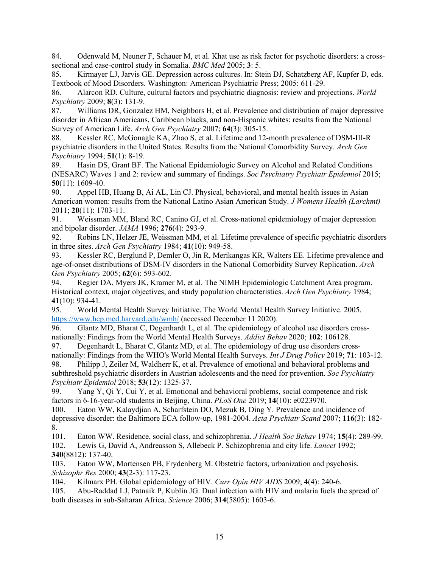84. Odenwald M, Neuner F, Schauer M, et al. Khat use as risk factor for psychotic disorders: a crosssectional and case-control study in Somalia. *BMC Med* 2005; **3**: 5.

85. Kirmayer LJ, Jarvis GE. Depression across cultures. In: Stein DJ, Schatzberg AF, Kupfer D, eds. Textbook of Mood Disorders. Washington: American Psychiatric Press; 2005: 611-29.

86. Alarcon RD. Culture, cultural factors and psychiatric diagnosis: review and projections. *World Psychiatry* 2009; **8**(3): 131-9.

87. Williams DR, Gonzalez HM, Neighbors H, et al. Prevalence and distribution of major depressive disorder in African Americans, Caribbean blacks, and non-Hispanic whites: results from the National Survey of American Life. *Arch Gen Psychiatry* 2007; **64**(3): 305-15.

88. Kessler RC, McGonagle KA, Zhao S, et al. Lifetime and 12-month prevalence of DSM-III-R psychiatric disorders in the United States. Results from the National Comorbidity Survey. *Arch Gen Psychiatry* 1994; **51**(1): 8-19.

89. Hasin DS, Grant BF. The National Epidemiologic Survey on Alcohol and Related Conditions (NESARC) Waves 1 and 2: review and summary of findings. *Soc Psychiatry Psychiatr Epidemiol* 2015; **50**(11): 1609-40.

90. Appel HB, Huang B, Ai AL, Lin CJ. Physical, behavioral, and mental health issues in Asian American women: results from the National Latino Asian American Study. *J Womens Health (Larchmt)* 2011; **20**(11): 1703-11.

91. Weissman MM, Bland RC, Canino GJ, et al. Cross-national epidemiology of major depression and bipolar disorder. *JAMA* 1996; **276**(4): 293-9.

92. Robins LN, Helzer JE, Weissman MM, et al. Lifetime prevalence of specific psychiatric disorders in three sites. *Arch Gen Psychiatry* 1984; **41**(10): 949-58.

93. Kessler RC, Berglund P, Demler O, Jin R, Merikangas KR, Walters EE. Lifetime prevalence and age-of-onset distributions of DSM-IV disorders in the National Comorbidity Survey Replication. *Arch Gen Psychiatry* 2005; **62**(6): 593-602.

94. Regier DA, Myers JK, Kramer M, et al. The NIMH Epidemiologic Catchment Area program. Historical context, major objectives, and study population characteristics. *Arch Gen Psychiatry* 1984; **41**(10): 934-41.

95. World Mental Health Survey Initiative. The World Mental Health Survey Initiative. 2005. https://www.hcp.med.harvard.edu/wmh/ (accessed December 11 2020).

96. Glantz MD, Bharat C, Degenhardt L, et al. The epidemiology of alcohol use disorders crossnationally: Findings from the World Mental Health Surveys. *Addict Behav* 2020; **102**: 106128.

97. Degenhardt L, Bharat C, Glantz MD, et al. The epidemiology of drug use disorders crossnationally: Findings from the WHO's World Mental Health Surveys. *Int J Drug Policy* 2019; **71**: 103-12.

98. Philipp J, Zeiler M, Waldherr K, et al. Prevalence of emotional and behavioral problems and subthreshold psychiatric disorders in Austrian adolescents and the need for prevention. *Soc Psychiatry Psychiatr Epidemiol* 2018; **53**(12): 1325-37.

99. Yang Y, Qi Y, Cui Y, et al. Emotional and behavioral problems, social competence and risk factors in 6-16-year-old students in Beijing, China. *PLoS One* 2019; **14**(10): e0223970.

100. Eaton WW, Kalaydjian A, Scharfstein DO, Mezuk B, Ding Y. Prevalence and incidence of depressive disorder: the Baltimore ECA follow-up, 1981-2004. *Acta Psychiatr Scand* 2007; **116**(3): 182- 8.

101. Eaton WW. Residence, social class, and schizophrenia. *J Health Soc Behav* 1974; **15**(4): 289-99.

102. Lewis G, David A, Andreasson S, Allebeck P. Schizophrenia and city life. *Lancet* 1992; **340**(8812): 137-40.

103. Eaton WW, Mortensen PB, Frydenberg M. Obstetric factors, urbanization and psychosis. *Schizophr Res* 2000; **43**(2-3): 117-23.

104. Kilmarx PH. Global epidemiology of HIV. *Curr Opin HIV AIDS* 2009; **4**(4): 240-6.

105. Abu-Raddad LJ, Patnaik P, Kublin JG. Dual infection with HIV and malaria fuels the spread of both diseases in sub-Saharan Africa. *Science* 2006; **314**(5805): 1603-6.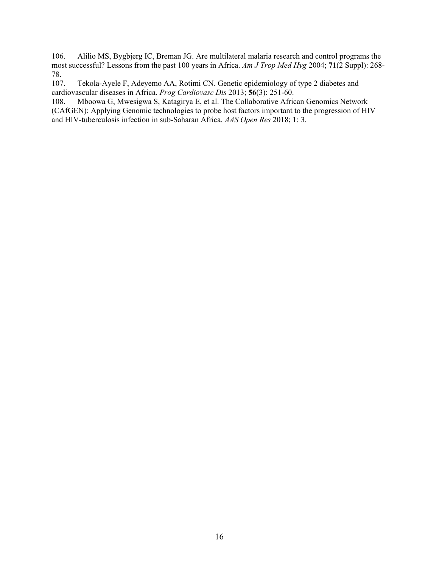106. Alilio MS, Bygbjerg IC, Breman JG. Are multilateral malaria research and control programs the most successful? Lessons from the past 100 years in Africa. *Am J Trop Med Hyg* 2004; **71**(2 Suppl): 268- 78.<br>107.

Tekola-Ayele F, Adeyemo AA, Rotimi CN. Genetic epidemiology of type 2 diabetes and cardiovascular diseases in Africa. *Prog Cardiovasc Dis* 2013; **56**(3): 251-60.

108. Mboowa G, Mwesigwa S, Katagirya E, et al. The Collaborative African Genomics Network (CAfGEN): Applying Genomic technologies to probe host factors important to the progression of HIV and HIV-tuberculosis infection in sub-Saharan Africa. *AAS Open Res* 2018; **1**: 3.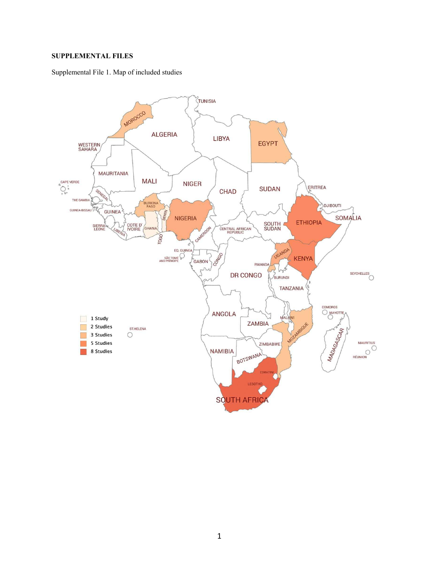## **SUPPLEMENTAL FILES**

Supplemental File 1. Map of included studies

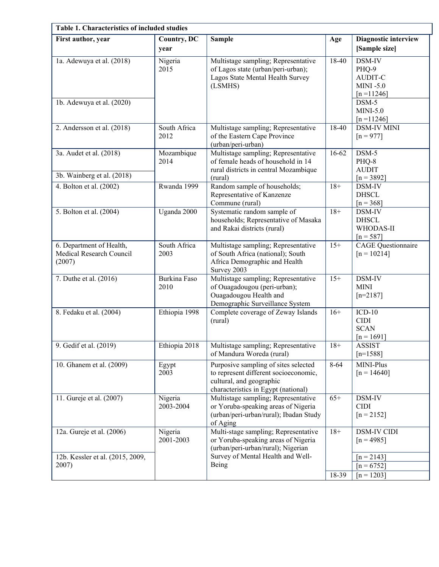| Table 1. Characteristics of included studies                   |                      |                                                                                                                                                        |       |                                                                               |  |  |  |  |  |  |
|----------------------------------------------------------------|----------------------|--------------------------------------------------------------------------------------------------------------------------------------------------------|-------|-------------------------------------------------------------------------------|--|--|--|--|--|--|
| First author, year                                             | Country, DC<br>year  | <b>Sample</b>                                                                                                                                          | Age   | Diagnostic interview<br>[Sample size]                                         |  |  |  |  |  |  |
| 1a. Adewuya et al. (2018)<br>1b. Adewuya et al. (2020)         | Nigeria<br>2015      | Multistage sampling; Representative<br>of Lagos state (urban/peri-urban);<br>Lagos State Mental Health Survey<br>(LSMHS)                               | 18-40 | DSM-IV<br>PHQ-9<br><b>AUDIT-C</b><br>$MINI - 5.0$<br>$[n = 11246]$<br>$DSM-5$ |  |  |  |  |  |  |
|                                                                |                      |                                                                                                                                                        |       | $MINI-5.0$<br>$[n=11246]$                                                     |  |  |  |  |  |  |
| 2. Andersson et al. (2018)                                     | South Africa<br>2012 | Multistage sampling; Representative<br>of the Eastern Cape Province<br>(urban/peri-urban)                                                              | 18-40 | <b>DSM-IV MINI</b><br>$[n = 977]$                                             |  |  |  |  |  |  |
| 3a. Audet et al. (2018)                                        | Mozambique<br>2014   | Multistage sampling; Representative<br>of female heads of household in 14<br>rural districts in central Mozambique                                     | 16-62 | $DSM-5$<br>PHQ-8<br><b>AUDIT</b>                                              |  |  |  |  |  |  |
| 3b. Wainberg et al. (2018)                                     |                      | (rural)                                                                                                                                                |       | $[n = 3892]$                                                                  |  |  |  |  |  |  |
| 4. Bolton et al. (2002)                                        | Rwanda 1999          | Random sample of households;<br>Representative of Kanzenze<br>Commune (rural)                                                                          | $18+$ | DSM-IV<br><b>DHSCL</b><br>$[n = 368]$                                         |  |  |  |  |  |  |
| 5. Bolton et al. (2004)                                        | Uganda 2000          | Systematic random sample of<br>households; Representative of Masaka<br>and Rakai districts (rural)                                                     | $18+$ | DSM-IV<br><b>DHSCL</b><br>WHODAS-II<br>$[n = 587]$                            |  |  |  |  |  |  |
| 6. Department of Health,<br>Medical Research Council<br>(2007) | South Africa<br>2003 | Multistage sampling; Representative<br>of South Africa (national); South<br>Africa Demographic and Health<br>Survey 2003                               | $15+$ | <b>CAGE</b> Questionnaire<br>$[n = 10214]$                                    |  |  |  |  |  |  |
| 7. Duthe et al. (2016)                                         | Burkina Faso<br>2010 | Multistage sampling; Representative<br>of Ouagadougou (peri-urban);<br>Ouagadougou Health and<br>Demographic Surveillance System                       | $15+$ | DSM-IV<br><b>MINI</b><br>$[n=2187]$                                           |  |  |  |  |  |  |
| 8. Fedaku et al. (2004)                                        | Ethiopia 1998        | Complete coverage of Zeway Islands<br>(rural)                                                                                                          | $16+$ | $ICD-10$<br><b>CIDI</b><br><b>SCAN</b><br>$[n = 1691]$                        |  |  |  |  |  |  |
| 9. Gedif et al. (2019)                                         | Ethiopia 2018        | Multistage sampling; Representative<br>of Mandura Woreda (rural)                                                                                       | $18+$ | <b>ASSIST</b><br>$[n=1588]$                                                   |  |  |  |  |  |  |
| 10. Ghanem et al. (2009)                                       | Egypt<br>2003        | Purposive sampling of sites selected<br>to represent different socioeconomic,<br>cultural, and geographic<br>characteristics in Egypt (national)       | 8-64  | MINI-Plus<br>$[n = 14640]$                                                    |  |  |  |  |  |  |
| 11. Gureje et al. (2007)                                       | Nigeria<br>2003-2004 | Multistage sampling; Representative<br>or Yoruba-speaking areas of Nigeria<br>(urban/peri-urban/rural); Ibadan Study<br>of Aging                       | $65+$ | DSM-IV<br><b>CIDI</b><br>$[n = 2152]$                                         |  |  |  |  |  |  |
| 12a. Gureje et al. (2006)<br>12b. Kessler et al. (2015, 2009,  | Nigeria<br>2001-2003 | Multi-stage sampling; Representative<br>or Yoruba-speaking areas of Nigeria<br>(urban/peri-urban/rural); Nigerian<br>Survey of Mental Health and Well- | $18+$ | <b>DSM-IV CIDI</b><br>$[n = 4985]$<br>$[n = 2143]$                            |  |  |  |  |  |  |
| 2007)                                                          |                      | Being                                                                                                                                                  | 18-39 | $[n = 6752]$<br>$[n = 1203]$                                                  |  |  |  |  |  |  |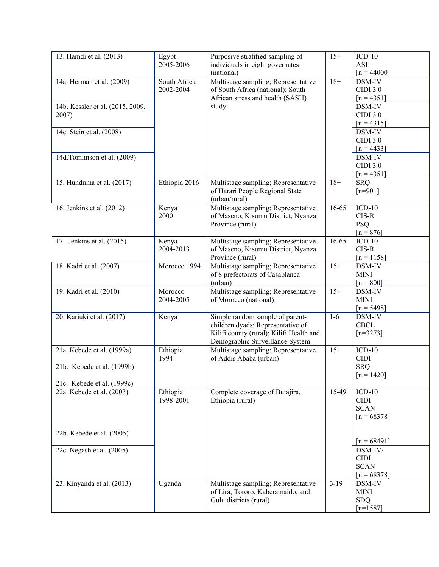| 13. Hamdi et al. (2013)                                                                | Egypt<br>2005-2006        | Purposive stratified sampling of<br>individuals in eight governates<br>(national)                                                                   | $15+$     | $ICD-10$<br>ASI<br>$[n = 44000]$                        |
|----------------------------------------------------------------------------------------|---------------------------|-----------------------------------------------------------------------------------------------------------------------------------------------------|-----------|---------------------------------------------------------|
| 14a. Herman et al. (2009)                                                              | South Africa<br>2002-2004 | Multistage sampling; Representative<br>of South Africa (national); South<br>African stress and health (SASH)                                        | $18+$     | DSM-IV<br><b>CIDI 3.0</b><br>$[n = 4351]$               |
| 14b. Kessler et al. (2015, 2009,<br>2007)                                              |                           | study                                                                                                                                               |           | DSM-IV<br><b>CIDI 3.0</b><br>$[n = 4315]$               |
| 14c. Stein et al. (2008)                                                               |                           |                                                                                                                                                     |           | DSM-IV<br><b>CIDI 3.0</b><br>$[n = 4433]$               |
| 14d.Tomlinson et al. (2009)                                                            |                           |                                                                                                                                                     |           | DSM-IV<br><b>CIDI 3.0</b><br>$[n = 4351]$               |
| 15. Hunduma et al. (2017)                                                              | Ethiopia 2016             | Multistage sampling; Representative<br>of Harari People Regional State<br>(urban/rural)                                                             | $18+$     | <b>SRQ</b><br>$[n=901]$                                 |
| 16. Jenkins et al. (2012)                                                              | Kenya<br>2000             | Multistage sampling; Representative<br>of Maseno, Kisumu District, Nyanza<br>Province (rural)                                                       | $16 - 65$ | $ICD-10$<br>$CIS-R$<br><b>PSQ</b><br>$[n = 876]$        |
| 17. Jenkins et al. (2015)                                                              | Kenya<br>2004-2013        | Multistage sampling; Representative<br>of Maseno, Kisumu District, Nyanza<br>Province (rural)                                                       | $16 - 65$ | $ICD-10$<br>$CIS-R$<br>$[n = 1158]$                     |
| 18. Kadri et al. (2007)                                                                | Morocco 1994              | Multistage sampling; Representative<br>of 8 prefectorats of Casablanca<br>(urban)                                                                   | $15+$     | DSM-IV<br><b>MINI</b><br>$[n = 800]$                    |
| 19. Kadri et al. (2010)                                                                | Morocco<br>2004-2005      | Multistage sampling; Representative<br>of Morocco (national)                                                                                        | $15+$     | DSM-IV<br><b>MINI</b><br>$[n = 5498]$                   |
| 20. Kariuki et al. (2017)                                                              | Kenya                     | Simple random sample of parent-<br>children dyads; Representative of<br>Kilifi county (rural); Kilifi Health and<br>Demographic Surveillance System | $1-6$     | DSM-IV<br><b>CBCL</b><br>$[n=3273]$                     |
| 21a. Kebede et al. (1999a)<br>21b. Kebede et al. (1999b)<br>21c. Kebede et al. (1999c) | Ethiopia<br>1994          | Multistage sampling; Representative<br>of Addis Ababa (urban)                                                                                       | $15+$     | $ICD-10$<br><b>CIDI</b><br><b>SRQ</b><br>$[n = 1420]$   |
| 22a. Kebede et al. (2003)                                                              | Ethiopia<br>1998-2001     | Complete coverage of Butajira,<br>Ethiopia (rural)                                                                                                  | 15-49     | $ICD-10$<br><b>CIDI</b><br><b>SCAN</b><br>$[n = 68378]$ |
| 22b. Kebede et al. (2005)                                                              |                           |                                                                                                                                                     |           | $[n = 68491]$                                           |
| 22c. Negash et al. (2005)                                                              |                           |                                                                                                                                                     |           | DSM-IV/<br><b>CIDI</b><br><b>SCAN</b><br>$[n = 68378]$  |
| 23. Kinyanda et al. (2013)                                                             | Uganda                    | Multistage sampling; Representative<br>of Lira, Tororo, Kaberamaido, and<br>Gulu districts (rural)                                                  | $3-19$    | DSM-IV<br><b>MINI</b><br><b>SDQ</b><br>$[n=1587]$       |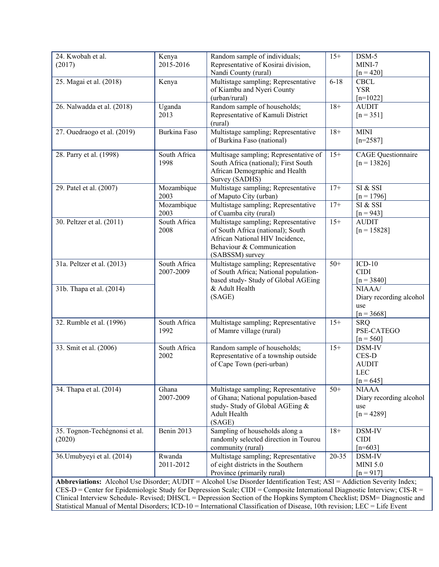| 24. Kwobah et al.             | Kenya        | Random sample of individuals;                                                                                               | $15+$     | $DSM-5$                                    |
|-------------------------------|--------------|-----------------------------------------------------------------------------------------------------------------------------|-----------|--------------------------------------------|
| (2017)                        | 2015-2016    | Representative of Kosirai division,                                                                                         |           | MINI-7                                     |
|                               |              | Nandi County (rural)                                                                                                        |           | $[n = 420]$                                |
|                               |              |                                                                                                                             |           |                                            |
| 25. Magai et al. (2018)       | Kenya        | Multistage sampling; Representative                                                                                         | $6 - 18$  | <b>CBCL</b>                                |
|                               |              | of Kiambu and Nyeri County                                                                                                  |           | <b>YSR</b>                                 |
|                               |              | (urban/rural)                                                                                                               |           | $[n=1022]$                                 |
| 26. Nalwadda et al. (2018)    | Uganda       | Random sample of households;                                                                                                | $18+$     | <b>AUDIT</b>                               |
|                               | 2013         | Representative of Kamuli District                                                                                           |           | $[n = 351]$                                |
|                               |              | (rural)                                                                                                                     |           |                                            |
| 27. Ouedraogo et al. (2019)   | Burkina Faso | Multistage sampling; Representative                                                                                         | $18+$     | <b>MINI</b>                                |
|                               |              | of Burkina Faso (national)                                                                                                  |           | $[n=2587]$                                 |
|                               | South Africa |                                                                                                                             | $15+$     |                                            |
| 28. Parry et al. (1998)       | 1998         | Multisage sampling; Representative of<br>South Africa (national); First South                                               |           | <b>CAGE</b> Questionnaire<br>$[n = 13826]$ |
|                               |              |                                                                                                                             |           |                                            |
|                               |              | African Demographic and Health                                                                                              |           |                                            |
|                               |              | Survey (SADHS)                                                                                                              |           |                                            |
| 29. Patel et al. (2007)       | Mozambique   | Multistage sampling; Representative                                                                                         | $17+$     | SI & SSI                                   |
|                               | 2003         | of Maputo City (urban)                                                                                                      |           | $[n = 1796]$                               |
|                               | Mozambique   | Multistage sampling; Representative                                                                                         | $17+$     | SI & SSI                                   |
|                               | 2003         | of Cuamba city (rural)                                                                                                      |           | $[n = 943]$                                |
| 30. Peltzer et al. (2011)     | South Africa | Multistage sampling; Representative                                                                                         | $15+$     | <b>AUDIT</b>                               |
|                               | 2008         | of South Africa (national); South                                                                                           |           | $[n = 15828]$                              |
|                               |              | African National HIV Incidence,                                                                                             |           |                                            |
|                               |              | Behaviour & Communication                                                                                                   |           |                                            |
|                               |              | (SABSSM) survey                                                                                                             |           |                                            |
| 31a. Peltzer et al. (2013)    | South Africa | Multistage sampling; Representative                                                                                         | $50+$     | $ICD-10$                                   |
|                               | 2007-2009    | of South Africa; National population-                                                                                       |           | <b>CIDI</b>                                |
|                               |              | based study- Study of Global AGEing                                                                                         |           | $[n = 3840]$                               |
| 31b. Thapa et al. (2014)      |              | & Adult Health                                                                                                              |           | NIAAA/                                     |
|                               |              | (SAGE)                                                                                                                      |           | Diary recording alcohol                    |
|                               |              |                                                                                                                             |           | use                                        |
|                               |              |                                                                                                                             |           | $[n = 3668]$                               |
| 32. Rumble et al. (1996)      | South Africa | Multistage sampling; Representative                                                                                         | $15+$     | <b>SRQ</b>                                 |
|                               | 1992         | of Mamre village (rural)                                                                                                    |           | PSE-CATEGO                                 |
|                               |              |                                                                                                                             |           | $[n = 560]$                                |
| 33. Smit et al. (2006)        | South Africa | Random sample of households;                                                                                                | $15+$     | DSM-IV                                     |
|                               | 2002         | Representative of a township outside                                                                                        |           | CES-D                                      |
|                               |              | of Cape Town (peri-urban)                                                                                                   |           | <b>AUDIT</b>                               |
|                               |              |                                                                                                                             |           | <b>LEC</b>                                 |
|                               |              |                                                                                                                             |           | $[n = 645]$                                |
| 34. Thapa et al. (2014)       | Ghana        | Multistage sampling; Representative                                                                                         | $50+$     | <b>NIAAA</b>                               |
|                               | 2007-2009    | of Ghana; National population-based                                                                                         |           | Diary recording alcohol                    |
|                               |              | study-Study of Global AGEing &                                                                                              |           | use                                        |
|                               |              | Adult Health                                                                                                                |           | $[n = 4289]$                               |
|                               |              | (SAGE)                                                                                                                      |           |                                            |
| 35. Tognon-Techégnonsi et al. | Benin 2013   | Sampling of households along a                                                                                              | $18+$     | DSM-IV                                     |
| (2020)                        |              | randomly selected direction in Tourou                                                                                       |           | <b>CIDI</b>                                |
|                               |              | community (rural)                                                                                                           |           | $[n=603]$                                  |
| 36. Umubyeyi et al. (2014)    | Rwanda       | Multistage sampling; Representative                                                                                         | $20 - 35$ | DSM-IV                                     |
|                               | 2011-2012    | of eight districts in the Southern                                                                                          |           | <b>MINI 5.0</b>                            |
|                               |              | Province (primarily rural)                                                                                                  |           | $[n = 917]$                                |
|                               |              | Abbreviations: Alcohol Use Disorder; AUDIT = Alcohol Use Disorder Identification Test; ASI = Addiction Severity Index;      |           |                                            |
|                               |              | $CES-D =$ Center for Epidemiologic Study for Depression Scale; CIDI = Composite International Diagnostic Interview; CIS-R = |           |                                            |
|                               |              |                                                                                                                             |           |                                            |
|                               |              | Clinical Interview Schedule- Revised; DHSCL = Depression Section of the Hopkins Symptom Checklist; DSM= Diagnostic and      |           |                                            |

Statistical Manual of Mental Disorders; ICD-10 = International Classification of Disease, 10th revision; LEC = Life Event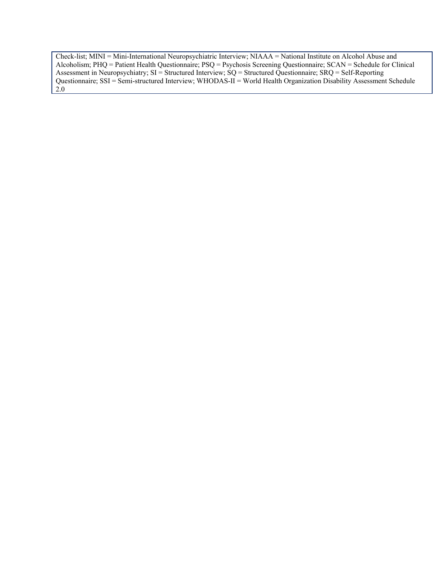Check-list; MINI = Mini-International Neuropsychiatric Interview; NIAAA = National Institute on Alcohol Abuse and Alcoholism; PHQ = Patient Health Questionnaire; PSQ = Psychosis Screening Questionnaire; SCAN = Schedule for Clinical Assessment in Neuropsychiatry; SI = Structured Interview; SQ = Structured Questionnaire; SRQ = Self-Reporting Questionnaire; SSI = Semi-structured Interview; WHODAS-II = World Health Organization Disability Assessment Schedule 2.0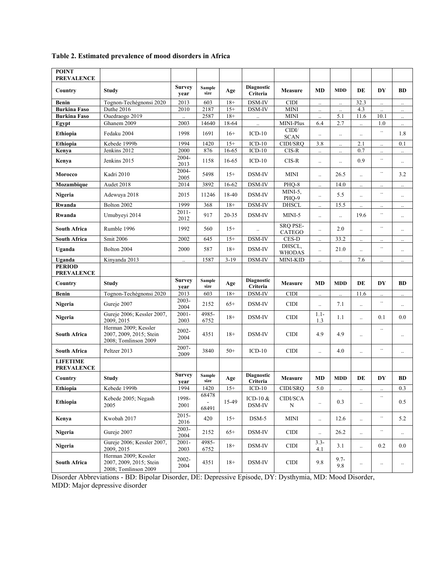| <b>POINT</b><br><b>PREVALENCE</b>    |                                                                         |                       |                |          |                               |                           |                      |                |                      |                      |                      |
|--------------------------------------|-------------------------------------------------------------------------|-----------------------|----------------|----------|-------------------------------|---------------------------|----------------------|----------------|----------------------|----------------------|----------------------|
| Country                              | Study                                                                   | <b>Survey</b><br>year | Sample<br>size | Age      | <b>Diagnostic</b><br>Criteria | <b>Measure</b>            | <b>MD</b>            | <b>MDD</b>     | DE                   | DY                   | <b>BD</b>            |
| Benin                                | Tognon-Techégnonsi 2020                                                 | 2013                  | 603            | $18+$    | DSM-IV                        | <b>CIDI</b>               | $\ldots$             |                | 32.3                 |                      | $\ldots$             |
| <b>Burkina Faso</b>                  | Duthe 2016                                                              | 2010                  | 2187           | $15+$    | DSM-IV                        | <b>MINI</b>               | $\ddotsc$            |                | 4.3                  | $\ddotsc$            | $\ddot{\phantom{a}}$ |
| <b>Burkina Faso</b>                  | Ouedraogo 2019                                                          | $\ddot{\phantom{a}}$  | 2587           | $18+$    | $\ldots$                      | <b>MINI</b>               | $\ddot{\phantom{a}}$ | 5.1            | 11.6                 | 10.1                 | $\ldots$             |
| Egypt                                | Ghanem 2009                                                             | 2003                  | 14640          | 18-64    |                               | MINI-Plus<br>CIDI/        | 6.4                  | 2.7            |                      | 1.0                  | $\ldots$             |
| Ethiopia                             | Fedaku 2004                                                             | 1998                  | 1691           | $16+$    | $ICD-10$                      | <b>SCAN</b>               | $\ddotsc$            | $\ldots$       |                      |                      | 1.8                  |
| Ethiopia                             | Kebede 1999b                                                            | 1994                  | 1420           | $15+$    | $\overline{ICD-10}$           | CIDI/SRQ                  | 3.8                  |                | 2.1                  |                      | 0.1                  |
| Kenya                                | Jenkins 2012                                                            | 2000<br>2004-         | 876            | 16-65    | $ICD-10$                      | $CIS-R$                   | $\ddotsc$            | $\ldots$       | 0.7                  |                      | $\ldots$             |
| Kenya                                | Jenkins 2015                                                            | 2013                  | 1158           | 16-65    | $ICD-10$                      | $CIS-R$                   | $\ddotsc$            |                | 0.9                  |                      | $\ldots$             |
| Morocco                              | Kadri 2010                                                              | 2004-<br>2005         | 5498           | $15+$    | DSM-IV                        | MINI                      | $\ddotsc$            | 26.5           | $\ddotsc$            |                      | 3.2                  |
| Mozambique                           | Audet 2018                                                              | 2014                  | 3892           | 16-62    | DSM-IV                        | PHQ-8                     | $\ddotsc$            | 14.0           | $\ddotsc$            | $\ldots$             | $\ldots$             |
| Nigeria                              | Adewuya 2018                                                            | 2015                  | 11246          | 18-40    | DSM-IV                        | MINI-5,<br>PHQ-9          | $\ddotsc$            | 5.5            | $\cdot$ .            |                      | $\ldots$             |
| Rwanda                               | Bolton 2002                                                             | 1999                  | 368            | $18+$    | DSM-IV                        | <b>DHSCL</b>              | $\ldots$             | 15.5           |                      |                      | $\ddotsc$            |
| Rwanda                               | Umubyeyi 2014                                                           | $2011 -$<br>2012      | 917            | 20-35    | DSM-IV                        | MINI-5                    | $\ddotsc$            | $\ddotsc$      | 19.6                 |                      | $\ddotsc$            |
| <b>South Africa</b>                  | Rumble 1996                                                             | 1992                  | 560            | $15+$    | $\ddot{\phantom{a}}$          | <b>SRQ PSE-</b><br>CATEGO | $\ddotsc$            | 2.0            | $\cdot$ .            | $\cdot$ .            | $\ddotsc$            |
| <b>South Africa</b>                  | <b>Smit 2006</b>                                                        | 2002                  | 645            | $15+$    | DSM-IV                        | $\sf{CES}\text{-}\sf{D}$  | $\ddotsc$            | 33.2           | $\ldots$             |                      | $\ldots$             |
| Uganda                               | Bolton 2004                                                             | 2000                  | 587            | $18+$    | DSM-IV                        | DHSCL,<br><b>WHODAS</b>   | $\ddotsc$            | 21.0           | $\ddot{\phantom{0}}$ | $\cdot$ .            | $\ldots$             |
| Uganda                               | Kinyanda 2013                                                           | $\ddotsc$             | 1587           | $3 - 19$ | DSM-IV                        | MINI-KID                  |                      |                | 7.6                  | $\ddot{\phantom{a}}$ | $\ddotsc$            |
| <b>PERIOD</b><br><b>PREVALENCE</b>   |                                                                         |                       |                |          |                               |                           |                      |                |                      |                      |                      |
| Country                              | Study                                                                   | <b>Survey</b><br>year | Sample<br>size | Age      | <b>Diagnostic</b><br>Criteria | Measure                   | <b>MD</b>            | <b>MDD</b>     | DE                   | DY                   | BD                   |
| Benin                                | Tognon-Techégnonsi 2020                                                 | 2013                  | 603            | $18+$    | DSM-IV                        | <b>CIDI</b>               | $\ldots$             |                | 11.6                 | $\ldots$             | $\ldots$             |
| Nigeria                              | Gureje 2007                                                             | 2003-<br>2004         | 2152           | $65+$    | DSM-IV                        | <b>CIDI</b>               | $\ddotsc$            | 7.1            | $\ddotsc$            |                      | $\ldots$             |
| Nigeria                              | Gureje 2006; Kessler 2007,<br>2009, 2015                                | $2001 -$<br>2003      | 4985-<br>6752  | $18+$    | DSM-IV                        | <b>CIDI</b>               | $1.1 -$<br>1.3       | 1.1            | $\ddotsc$            | 0.1                  | 0.0                  |
| <b>South Africa</b>                  | Herman 2009; Kessler<br>2007, 2009, 2015; Stein<br>2008; Tomlinson 2009 | 2002-<br>2004         | 4351           | $18+$    | DSM-IV                        | <b>CIDI</b>               | 4.9                  | 4.9            | $\ldots$             | $\cdot$ .            | $\cdot$ .            |
| <b>South Africa</b>                  | Peltzer 2013                                                            | 2007-<br>2009         | 3840           | $50+$    | $ICD-10$                      | <b>CIDI</b>               | $\ddotsc$            | 4.0            | $\ldots$             | $\ldots$             |                      |
| <b>LIFETIME</b><br><b>PREVALENCE</b> |                                                                         |                       |                |          |                               |                           |                      |                |                      |                      |                      |
| Country                              | <b>Study</b>                                                            | <b>Survey</b><br>year | Sample<br>size | Age      | Diagnostic<br>Criteria        | Measure                   | MD                   | <b>MDD</b>     | DE                   | DY                   | BD                   |
| Ethiopia                             | Kebede 1999b                                                            | 1994                  | 1420           | $15+$    | $ICD-10$                      | CIDI/SRQ                  | $5.0\,$              | $\ldots$       | $\ldots$             | $\ldots$             | $0.3\,$              |
| Ethiopia                             | Kebede 2005; Negash<br>2005                                             | 1998-<br>2001         | 68478<br>68491 | 15-49    | ICD-10 $\&$<br>DSM-IV         | CIDI/SCA<br>N             | $\ddotsc$            | 0.3            | $\ddotsc$            | $\ldots$             | 0.5                  |
| Kenya                                | Kwobah 2017                                                             | $2015 -$<br>2016      | 420            | $15+$    | $DSM-5$                       | <b>MINI</b>               | $\ddotsc$            | 12.6           |                      | $\ldots$             | 5.2                  |
| Nigeria                              | Gureje 2007                                                             | 2003-<br>2004         | 2152           | $65+$    | DSM-IV                        | <b>CIDI</b>               | $\ddot{\phantom{a}}$ | 26.2           | $\ddotsc$            |                      | $\ldots$             |
| Nigeria                              | Gureje 2006; Kessler 2007,<br>2009, 2015                                | $2001 -$<br>2003      | 4985-<br>6752  | $18+$    | DSM-IV                        | <b>CIDI</b>               | $3.3-$<br>4.1        | 3.1            | $\ldots$             | 0.2                  | $0.0\,$              |
| South Africa                         | Herman 2009; Kessler<br>2007, 2009, 2015; Stein<br>2008; Tomlinson 2009 | 2002-<br>2004         | 4351           | $18+$    | DSM-IV                        | CIDI                      | 9.8                  | $9.7 -$<br>9.8 | $\ddotsc$            | $\ddotsc$            | $\ldots$             |

# **Table 2. Estimated prevalence of mood disorders in Africa**

Disorder Abbreviations - BD: Bipolar Disorder, DE: Depressive Episode, DY: Dysthymia, MD: Mood Disorder, MDD: Major depressive disorder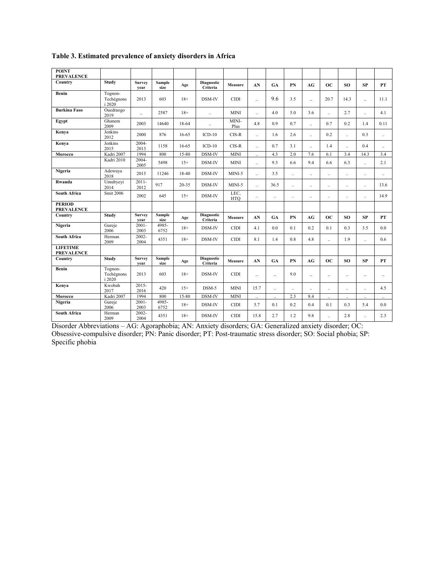| <b>POINT</b><br><b>PREVALENCE</b>    |                                 |                       |                       |           |                               |                    |                      |                      |     |                      |                      |                      |                      |                      |
|--------------------------------------|---------------------------------|-----------------------|-----------------------|-----------|-------------------------------|--------------------|----------------------|----------------------|-----|----------------------|----------------------|----------------------|----------------------|----------------------|
| Country                              | <b>Study</b>                    | Survey                | Sample                | Age       | Diagnostic<br>Criteria        | <b>Measure</b>     | AN                   | GA                   | PN  | AG                   | <b>OC</b>            | SO <sub>1</sub>      | <b>SP</b>            | <b>PT</b>            |
| Benin                                | Tognon-<br>Techégnons<br>i 2020 | vear<br>2013          | size<br>603           | $18+$     | DSM-IV                        | <b>CIDI</b>        | $\ddotsc$            | 9.6                  | 3.5 | $\ddot{\phantom{a}}$ | 20.7                 | 14.3                 | $\ddot{\phantom{a}}$ | 11.1                 |
| <b>Burkina Faso</b>                  | Ouedraogo<br>2019               | $\ddotsc$             | 2587                  | $18+$     | $\ddotsc$                     | MINI               | $\ddot{\phantom{a}}$ | 4.0                  | 5.0 | 3.6                  | ä.                   | 2.7                  | u.                   | 4.1                  |
| Egypt                                | Ghanem<br>2009                  | 2003                  | 14640                 | 18-64     | $\ddotsc$                     | MINI-<br>Plus      | 4.8                  | 0.9                  | 0.7 | u.                   | 0.7                  | 0.2                  | 1.4                  | 0.11                 |
| Kenya                                | Jenkins<br>2012                 | 2000                  | 876                   | 16-65     | $ICD-10$                      | $CIS-R$            | $\ddot{\phantom{1}}$ | 1.6                  | 2.6 | ä,                   | 0.2                  | $\ddot{\phantom{1}}$ | 0.3                  | u.                   |
| Kenya                                | Jenkins<br>2015                 | 2004-<br>2013         | 1158                  | 16-65     | $ICD-10$                      | $CIS-R$            | $\ddot{\phantom{1}}$ | 0.7                  | 3.1 | u.                   | 1.4                  | $\mathbf{r}$         | 0.4                  | $\ddot{\phantom{a}}$ |
| Morocco                              | Kadri 2007                      | 1994                  | 800                   | $15 - 80$ | DSM-IV                        | <b>MINI</b>        | $\ddot{\phantom{1}}$ | 4.3                  | 2.0 | 7.6                  | 6.1                  | 3.4                  | 14.3                 | 3.4                  |
|                                      | Kadri 2010                      | 2004-<br>2005         | 5498                  | $15+$     | DSM-IV                        | <b>MINI</b>        | $\ddot{\phantom{1}}$ | 9.3                  | 6.6 | 9.4                  | 6.6                  | 6.3                  | $\ddot{\phantom{1}}$ | 2.1                  |
| Nigeria                              | Adewuya<br>2018                 | 2015                  | 11246                 | 18-40     | DSM-IV                        | $MINI-5$           | $\ddot{\phantom{1}}$ | 3.5                  | ä,  | ä,                   | u.                   | $\ddot{\phantom{1}}$ | $\ddotsc$            | $\ddot{\phantom{a}}$ |
| Rwanda                               | Umubyeyi<br>2014                | $2011 -$<br>2012      | 917                   | $20 - 35$ | DSM-IV                        | MINI-5             | $\ddot{\phantom{1}}$ | 36.5                 |     |                      | $\ddot{\phantom{a}}$ | $\ddotsc$            | $\ddotsc$            | 13.6                 |
| <b>South Africa</b>                  | Smit 2006                       | 2002                  | 645                   | $15+$     | DSM-IV                        | LEC,<br><b>HTO</b> | $\ddotsc$            | $\ddot{\phantom{a}}$ | Ω,  |                      | $\ddot{\phantom{a}}$ | $\ddot{\phantom{a}}$ | u.                   | 14.9                 |
| <b>PERIOD</b><br><b>PREVALENCE</b>   |                                 |                       |                       |           |                               |                    |                      |                      |     |                      |                      |                      |                      |                      |
| Country                              | Study                           | <b>Survey</b><br>year | <b>Sample</b><br>size | Age       | Diagnostic<br>Criteria        | <b>Measure</b>     | AN                   | GA                   | PN  | AG                   | <b>OC</b>            | SO.                  | SP                   | PT                   |
| Nigeria                              | Gureje<br>2006                  | $2001 -$<br>2003      | 4985-<br>6752         | $18+$     | DSM-IV                        | CIDI               | 4.1                  | 0.0                  | 0.1 | 0.2                  | 0.1                  | 0.3                  | 3.5                  | 0.0                  |
| <b>South Africa</b>                  | Herman<br>2009                  | $2002 -$<br>2004      | 4351                  | $18+$     | DSM-IV                        | <b>CIDI</b>        | 8.1                  | 1.4                  | 0.8 | 4.8                  | $\ddot{\phantom{a}}$ | 1.9                  | u.                   | 0.6                  |
| <b>LIFETIME</b><br><b>PREVALENCE</b> |                                 |                       |                       |           |                               |                    |                      |                      |     |                      |                      |                      |                      |                      |
| Country                              | Study                           | Survey<br>vear        | Sample<br>size        | Age       | <b>Diagnostic</b><br>Criteria | <b>Measure</b>     | AN                   | GA                   | PN  | AG                   | <b>OC</b>            | SO <sub>1</sub>      | <b>SP</b>            | PT                   |
| Benin                                | Tognon-<br>Techégnons<br>i 2020 | 2013                  | 603                   | $18+$     | DSM-IV                        | <b>CIDI</b>        | $\ddot{\phantom{a}}$ | $\ddot{\phantom{a}}$ | 9.0 | Ω.                   | $\ddotsc$            | $\ddotsc$            | $\ddotsc$            | $\ddot{\phantom{a}}$ |
| Kenya                                | Kwobah<br>2017                  | $2015 -$<br>2016      | 420                   | $15+$     | DSM-5                         | <b>MINI</b>        | 15.7                 | u,                   | Ω,  | ä.                   | $\ddotsc$            | $\ddotsc$            | $\ddotsc$            | 4.5                  |
| Morocco                              | Kadri 2007                      | 1994                  | 800                   | 15-80     | DSM-IV                        | <b>MINI</b>        | $\ddot{\phantom{1}}$ | u,                   | 2.3 | 8.4                  | $\ddot{\phantom{a}}$ | $\ddot{\phantom{a}}$ | $\ddot{\phantom{a}}$ | $\ddot{\phantom{a}}$ |
| Nigeria                              | Gureje<br>2006                  | $2001 -$<br>2003      | 4985-<br>6752         | $18+$     | DSM-IV                        | <b>CIDI</b>        | 5.7                  | 0.1                  | 0.2 | 0.4                  | 0.1                  | 0.3                  | 5.4                  | 0.0                  |
| <b>South Africa</b>                  | Herman<br>2009                  | 2002-<br>2004         | 4351                  | $18+$     | DSM-IV                        | CIDI               | 15.8                 | 2.7                  | 1.2 | 9.8                  |                      | 2.8                  | u.                   | 2.3                  |

**Table 3. Estimated prevalence of anxiety disorders in Africa**

Disorder Abbreviations – AG: Agoraphobia; AN: Anxiety disorders; GA: Generalized anxiety disorder; OC: Obsessive-compulsive disorder; PN: Panic disorder; PT: Post-traumatic stress disorder; SO: Social phobia; SP: Specific phobia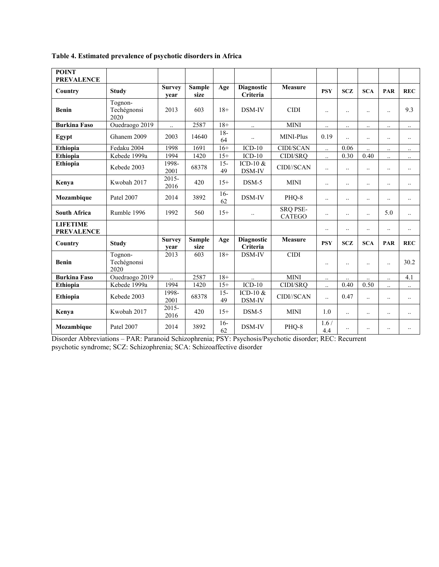**Table 4. Estimated prevalence of psychotic disorders in Africa**

| <b>POINT</b><br><b>PREVALENCE</b>    |                                |                       |                       |              |                               |                                  |                      |                      |                      |                      |                      |
|--------------------------------------|--------------------------------|-----------------------|-----------------------|--------------|-------------------------------|----------------------------------|----------------------|----------------------|----------------------|----------------------|----------------------|
| Country                              | <b>Study</b>                   | <b>Survey</b><br>vear | <b>Sample</b><br>size | Age          | <b>Diagnostic</b><br>Criteria | Measure                          | <b>PSY</b>           | <b>SCZ</b>           | <b>SCA</b>           | PAR                  | <b>REC</b>           |
| <b>Benin</b>                         | Tognon-<br>Techégnonsi<br>2020 | 2013                  | 603                   | $18+$        | DSM-IV                        | <b>CIDI</b>                      | $\ldots$             | $\ddotsc$            | $\ddotsc$            | $\ddot{\phantom{a}}$ | 9.3                  |
| <b>Burkina Faso</b>                  | Ouedraogo 2019                 | $\ddotsc$             | 2587                  | $18+$        | $\ddotsc$                     | <b>MINI</b>                      | $\ddotsc$            | $\ddotsc$            | $\ddotsc$            | $\ddotsc$            | $\ddot{\phantom{0}}$ |
| Egypt                                | Ghanem 2009                    | 2003                  | 14640                 | $18-$<br>64  | $\ddotsc$                     | MINI-Plus                        | 0.19                 | $\ddot{\phantom{a}}$ | $\ddotsc$            | $\ddotsc$            | $\ddotsc$            |
| Ethiopia                             | Fedaku 2004                    | 1998                  | 1691                  | $16+$        | $ICD-10$                      | <b>CIDI/SCAN</b>                 | $\ddot{\phantom{a}}$ | 0.06                 | $\ddotsc$            | $\ddotsc$            | $\ddotsc$            |
| Ethiopia                             | Kebede 1999a                   | 1994                  | 1420                  | $15+$        | $ICD-10$                      | CIDI/SRQ                         | $\ddot{\phantom{a}}$ | 0.30                 | 0.40                 | $\ddotsc$            | $\ddot{\phantom{0}}$ |
| Ethiopia                             | Kebede 2003                    | 1998-<br>2001         | 68378                 | $15 -$<br>49 | ICD-10 &<br>DSM-IV            | CIDI//SCAN                       | $\ddotsc$            | $\ddotsc$            | $\ddotsc$            | $\ddot{\phantom{0}}$ | $\ddotsc$            |
| Kenva                                | Kwobah 2017                    | $2015 -$<br>2016      | 420                   | $15+$        | DSM-5                         | <b>MINI</b>                      | $\ddotsc$            | $\ddotsc$            | $\ddotsc$            | $\ddotsc$            | $\ddot{\phantom{0}}$ |
| Mozambique                           | Patel 2007                     | 2014                  | 3892                  | $16-$<br>62  | DSM-IV                        | PHQ-8                            | $\ddot{\phantom{a}}$ | $\ddotsc$            | $\ddotsc$            | $\ddotsc$            | $\ddotsc$            |
| <b>South Africa</b>                  | Rumble 1996                    | 1992                  | 560                   | $15+$        | $\ddotsc$                     | <b>SRQ PSE-</b><br><b>CATEGO</b> | $\ddotsc$            | $\ddot{\phantom{0}}$ | $\ddotsc$            | 5.0                  | $\ddotsc$            |
| <b>LIFETIME</b><br><b>PREVALENCE</b> |                                |                       |                       |              |                               |                                  | $\ddotsc$            | $\ddotsc$            | $\ddotsc$            | $\ddot{\phantom{0}}$ | $\ddotsc$            |
| Country                              | <b>Study</b>                   | <b>Survey</b><br>year | <b>Sample</b><br>size | Age          | <b>Diagnostic</b><br>Criteria | <b>Measure</b>                   | <b>PSY</b>           | <b>SCZ</b>           | <b>SCA</b>           | PAR                  | <b>REC</b>           |
| <b>Benin</b>                         | Tognon-<br>Techégnonsi<br>2020 | 2013                  | 603                   | $18+$        | DSM-IV                        | <b>CIDI</b>                      | $\ddotsc$            | $\ddotsc$            | $\ddotsc$            | $\ddotsc$            | 30.2                 |
| <b>Burkina Faso</b>                  | Ouedraogo 2019                 | $\ddot{\phantom{a}}$  | 2587                  | $18+$        |                               | <b>MINI</b>                      | $\ddotsc$            | $\ddot{\phantom{a}}$ | $\ddot{\phantom{a}}$ | $\ddotsc$            | 4.1                  |
| <b>Ethiopia</b>                      | Kebede 1999a                   | 1994                  | 1420                  | $15+$        | $ICD-10$                      | CIDI/SRQ                         | $\ddot{\phantom{a}}$ | 0.40                 | 0.50                 | $\ddot{\phantom{a}}$ | $\ddot{\phantom{0}}$ |
| <b>Ethiopia</b>                      | Kebede 2003                    | 1998-<br>2001         | 68378                 | $15 -$<br>49 | ICD-10 $&$<br>DSM-IV          | CIDI//SCAN                       | $\ddot{\phantom{a}}$ | 0.47                 | $\ddotsc$            | $\ddotsc$            | $\ddotsc$            |
| Kenya                                | Kwobah 2017                    | $2015 -$<br>2016      | 420                   | $15+$        | $DSM-5$                       | <b>MINI</b>                      | 1.0                  | $\ddot{\phantom{0}}$ | $\ddotsc$            | $\ddotsc$            | $\ddotsc$            |
| Mozambique                           | Patel 2007                     | 2014                  | 3892                  | $16-$<br>62  | DSM-IV                        | PHQ-8                            | 1.6/<br>4.4          | $\ddotsc$            | $\ddotsc$            | $\ddotsc$            | $\ddot{\phantom{0}}$ |

Disorder Abbreviations – PAR: Paranoid Schizophrenia; PSY: Psychosis/Psychotic disorder; REC: Recurrent psychotic syndrome; SCZ: Schizophrenia; SCA: Schizoaffective disorder